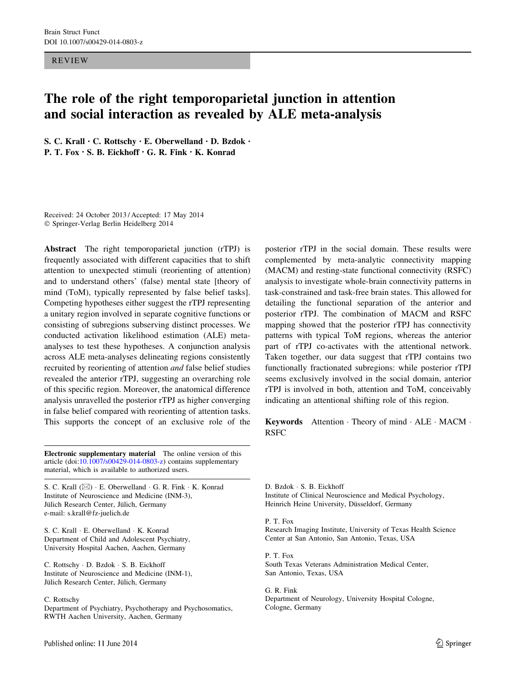REVIEW

# The role of the right temporoparietal junction in attention and social interaction as revealed by ALE meta-analysis

S. C. Krall • C. Rottschy • E. Oberwelland • D. Bzdok • P. T. Fox • S. B. Eickhoff • G. R. Fink • K. Konrad

Received: 24 October 2013 / Accepted: 17 May 2014 - Springer-Verlag Berlin Heidelberg 2014

Abstract The right temporoparietal junction (rTPJ) is frequently associated with different capacities that to shift attention to unexpected stimuli (reorienting of attention) and to understand others' (false) mental state [theory of mind (ToM), typically represented by false belief tasks]. Competing hypotheses either suggest the rTPJ representing a unitary region involved in separate cognitive functions or consisting of subregions subserving distinct processes. We conducted activation likelihood estimation (ALE) metaanalyses to test these hypotheses. A conjunction analysis across ALE meta-analyses delineating regions consistently recruited by reorienting of attention and false belief studies revealed the anterior rTPJ, suggesting an overarching role of this specific region. Moreover, the anatomical difference analysis unravelled the posterior rTPJ as higher converging in false belief compared with reorienting of attention tasks. This supports the concept of an exclusive role of the

Electronic supplementary material The online version of this article (doi:[10.1007/s00429-014-0803-z](http://dx.doi.org/10.1007/s00429-014-0803-z)) contains supplementary material, which is available to authorized users.

S. C. Krall  $(\boxtimes) \cdot$  E. Oberwelland  $\cdot$  G. R. Fink  $\cdot$  K. Konrad Institute of Neuroscience and Medicine (INM-3), Jülich Research Center, Jülich, Germany e-mail: s.krall@fz-juelich.de

S. C. Krall - E. Oberwelland - K. Konrad Department of Child and Adolescent Psychiatry, University Hospital Aachen, Aachen, Germany

C. Rottschy - D. Bzdok - S. B. Eickhoff Institute of Neuroscience and Medicine (INM-1), Jülich Research Center, Jülich, Germany

#### C. Rottschy

Department of Psychiatry, Psychotherapy and Psychosomatics, RWTH Aachen University, Aachen, Germany

posterior rTPJ in the social domain. These results were complemented by meta-analytic connectivity mapping (MACM) and resting-state functional connectivity (RSFC) analysis to investigate whole-brain connectivity patterns in task-constrained and task-free brain states. This allowed for detailing the functional separation of the anterior and posterior rTPJ. The combination of MACM and RSFC mapping showed that the posterior rTPJ has connectivity patterns with typical ToM regions, whereas the anterior part of rTPJ co-activates with the attentional network. Taken together, our data suggest that rTPJ contains two functionally fractionated subregions: while posterior rTPJ seems exclusively involved in the social domain, anterior rTPJ is involved in both, attention and ToM, conceivably indicating an attentional shifting role of this region.

Keywords Attention · Theory of mind · ALE · MACM · RSFC

D. Bzdok - S. B. Eickhoff Institute of Clinical Neuroscience and Medical Psychology, Heinrich Heine University, Düsseldorf, Germany

#### P. T. Fox

Research Imaging Institute, University of Texas Health Science Center at San Antonio, San Antonio, Texas, USA

P. T. Fox South Texas Veterans Administration Medical Center, San Antonio, Texas, USA

G. R. Fink Department of Neurology, University Hospital Cologne, Cologne, Germany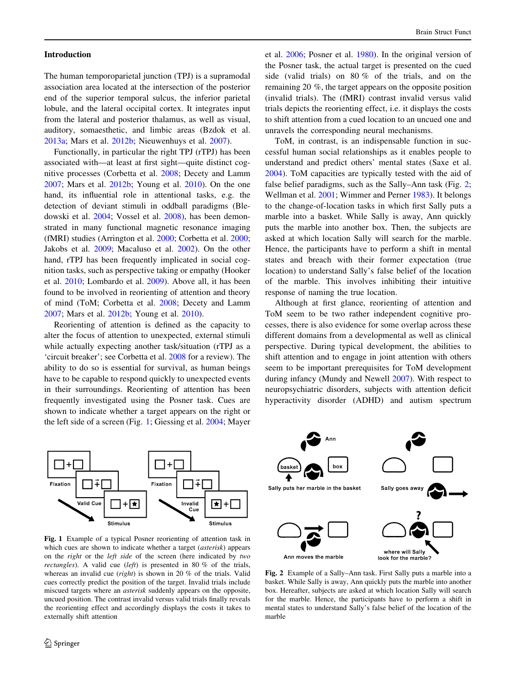#### Introduction

The human temporoparietal junction (TPJ) is a supramodal association area located at the intersection of the posterior end of the superior temporal sulcus, the inferior parietal lobule, and the lateral occipital cortex. It integrates input from the lateral and posterior thalamus, as well as visual, auditory, somaesthetic, and limbic areas (Bzdok et al. [2013a](#page-14-0); Mars et al. [2012b](#page-16-0); Nieuwenhuys et al. [2007](#page-16-0)).

Functionally, in particular the right TPJ (rTPJ) has been associated with—at least at first sight—quite distinct cognitive processes (Corbetta et al. [2008;](#page-14-0) Decety and Lamm [2007;](#page-14-0) Mars et al. [2012b](#page-16-0); Young et al. [2010](#page-17-0)). On the one hand, its influential role in attentional tasks, e.g. the detection of deviant stimuli in oddball paradigms (Bledowski et al. [2004;](#page-14-0) Vossel et al. [2008](#page-17-0)), has been demonstrated in many functional magnetic resonance imaging (fMRI) studies (Arrington et al. [2000](#page-14-0); Corbetta et al. [2000](#page-14-0); Jakobs et al. [2009;](#page-15-0) Macaluso et al. [2002\)](#page-16-0). On the other hand, rTPJ has been frequently implicated in social cognition tasks, such as perspective taking or empathy (Hooker et al. [2010;](#page-15-0) Lombardo et al. [2009\)](#page-16-0). Above all, it has been found to be involved in reorienting of attention and theory of mind (ToM; Corbetta et al. [2008](#page-14-0); Decety and Lamm [2007;](#page-14-0) Mars et al. [2012b;](#page-16-0) Young et al. [2010\)](#page-17-0).

Reorienting of attention is defined as the capacity to alter the focus of attention to unexpected, external stimuli while actually expecting another task/situation (rTPJ as a 'circuit breaker'; see Corbetta et al. [2008](#page-14-0) for a review). The ability to do so is essential for survival, as human beings have to be capable to respond quickly to unexpected events in their surroundings. Reorienting of attention has been frequently investigated using the Posner task. Cues are shown to indicate whether a target appears on the right or the left side of a screen (Fig. 1; Giessing et al. [2004;](#page-15-0) Mayer

et al. [2006](#page-16-0); Posner et al. [1980](#page-16-0)). In the original version of the Posner task, the actual target is presented on the cued side (valid trials) on 80 % of the trials, and on the remaining 20 %, the target appears on the opposite position (invalid trials). The (fMRI) contrast invalid versus valid trials depicts the reorienting effect, i.e. it displays the costs to shift attention from a cued location to an uncued one and unravels the corresponding neural mechanisms.

ToM, in contrast, is an indispensable function in successful human social relationships as it enables people to understand and predict others' mental states (Saxe et al. [2004](#page-17-0)). ToM capacities are typically tested with the aid of false belief paradigms, such as the Sally–Ann task (Fig. 2; Wellman et al. [2001](#page-17-0); Wimmer and Perner [1983](#page-17-0)). It belongs to the change-of-location tasks in which first Sally puts a marble into a basket. While Sally is away, Ann quickly puts the marble into another box. Then, the subjects are asked at which location Sally will search for the marble. Hence, the participants have to perform a shift in mental states and breach with their former expectation (true location) to understand Sally's false belief of the location of the marble. This involves inhibiting their intuitive response of naming the true location.

Although at first glance, reorienting of attention and ToM seem to be two rather independent cognitive processes, there is also evidence for some overlap across these different domains from a developmental as well as clinical perspective. During typical development, the abilities to shift attention and to engage in joint attention with others seem to be important prerequisites for ToM development during infancy (Mundy and Newell [2007\)](#page-16-0). With respect to neuropsychiatric disorders, subjects with attention deficit hyperactivity disorder (ADHD) and autism spectrum



Fig. 1 Example of a typical Posner reorienting of attention task in which cues are shown to indicate whether a target *(asterisk)* appears on the right or the left side of the screen (here indicated by two rectangles). A valid cue (left) is presented in 80  $\%$  of the trials, whereas an invalid cue (*right*) is shown in 20 % of the trials. Valid cues correctly predict the position of the target. Invalid trials include miscued targets where an asterisk suddenly appears on the opposite, uncued position. The contrast invalid versus valid trials finally reveals the reorienting effect and accordingly displays the costs it takes to externally shift attention



Fig. 2 Example of a Sally–Ann task. First Sally puts a marble into a basket. While Sally is away, Ann quickly puts the marble into another box. Hereafter, subjects are asked at which location Sally will search for the marble. Hence, the participants have to perform a shift in mental states to understand Sally's false belief of the location of the marble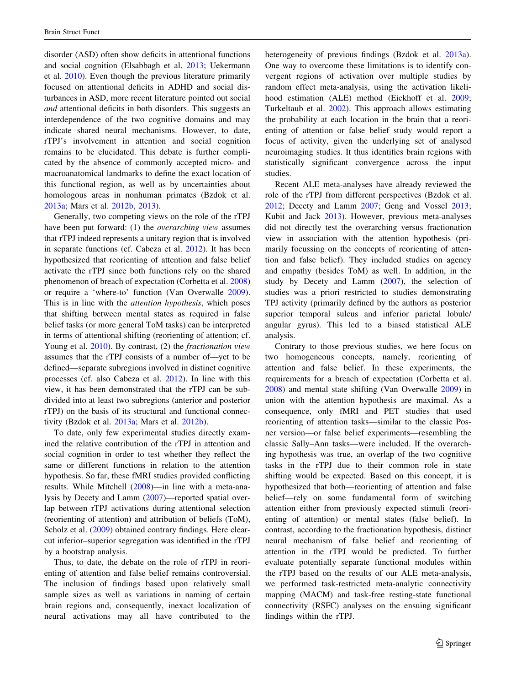disorder (ASD) often show deficits in attentional functions and social cognition (Elsabbagh et al. [2013](#page-15-0); Uekermann et al. [2010\)](#page-17-0). Even though the previous literature primarily focused on attentional deficits in ADHD and social disturbances in ASD, more recent literature pointed out social and attentional deficits in both disorders. This suggests an interdependence of the two cognitive domains and may indicate shared neural mechanisms. However, to date, rTPJ's involvement in attention and social cognition remains to be elucidated. This debate is further complicated by the absence of commonly accepted micro- and macroanatomical landmarks to define the exact location of this functional region, as well as by uncertainties about homologous areas in nonhuman primates (Bzdok et al. [2013a](#page-14-0); Mars et al. [2012b](#page-16-0), [2013\)](#page-16-0).

Generally, two competing views on the role of the rTPJ have been put forward: (1) the *overarching view* assumes that rTPJ indeed represents a unitary region that is involved in separate functions (cf. Cabeza et al. [2012](#page-14-0)). It has been hypothesized that reorienting of attention and false belief activate the rTPJ since both functions rely on the shared phenomenon of breach of expectation (Corbetta et al. [2008\)](#page-14-0) or require a 'where-to' function (Van Overwalle [2009](#page-17-0)). This is in line with the attention hypothesis, which poses that shifting between mental states as required in false belief tasks (or more general ToM tasks) can be interpreted in terms of attentional shifting (reorienting of attention; cf. Young et al. [2010](#page-17-0)). By contrast, (2) the *fractionation view* assumes that the rTPJ consists of a number of—yet to be defined—separate subregions involved in distinct cognitive processes (cf. also Cabeza et al. [2012\)](#page-14-0). In line with this view, it has been demonstrated that the rTPJ can be subdivided into at least two subregions (anterior and posterior rTPJ) on the basis of its structural and functional connectivity (Bzdok et al. [2013a](#page-14-0); Mars et al. [2012b\)](#page-16-0).

To date, only few experimental studies directly examined the relative contribution of the rTPJ in attention and social cognition in order to test whether they reflect the same or different functions in relation to the attention hypothesis. So far, these fMRI studies provided conflicting results. While Mitchell ([2008\)](#page-16-0)—in line with a meta-analysis by Decety and Lamm [\(2007](#page-14-0))—reported spatial overlap between rTPJ activations during attentional selection (reorienting of attention) and attribution of beliefs (ToM), Scholz et al. [\(2009\)](#page-17-0) obtained contrary findings. Here clearcut inferior–superior segregation was identified in the rTPJ by a bootstrap analysis.

Thus, to date, the debate on the role of rTPJ in reorienting of attention and false belief remains controversial. The inclusion of findings based upon relatively small sample sizes as well as variations in naming of certain brain regions and, consequently, inexact localization of neural activations may all have contributed to the heterogeneity of previous findings (Bzdok et al. [2013a](#page-14-0)). One way to overcome these limitations is to identify convergent regions of activation over multiple studies by random effect meta-analysis, using the activation likelihood estimation (ALE) method (Eickhoff et al. [2009](#page-14-0); Turkeltaub et al. [2002\)](#page-17-0). This approach allows estimating the probability at each location in the brain that a reorienting of attention or false belief study would report a focus of activity, given the underlying set of analysed neuroimaging studies. It thus identifies brain regions with statistically significant convergence across the input studies.

Recent ALE meta-analyses have already reviewed the role of the rTPJ from different perspectives (Bzdok et al. [2012](#page-14-0); Decety and Lamm [2007;](#page-14-0) Geng and Vossel [2013](#page-15-0); Kubit and Jack [2013\)](#page-15-0). However, previous meta-analyses did not directly test the overarching versus fractionation view in association with the attention hypothesis (primarily focussing on the concepts of reorienting of attention and false belief). They included studies on agency and empathy (besides ToM) as well. In addition, in the study by Decety and Lamm ([2007\)](#page-14-0), the selection of studies was a priori restricted to studies demonstrating TPJ activity (primarily defined by the authors as posterior superior temporal sulcus and inferior parietal lobule/ angular gyrus). This led to a biased statistical ALE analysis.

Contrary to those previous studies, we here focus on two homogeneous concepts, namely, reorienting of attention and false belief. In these experiments, the requirements for a breach of expectation (Corbetta et al. [2008](#page-14-0)) and mental state shifting (Van Overwalle [2009](#page-17-0)) in union with the attention hypothesis are maximal. As a consequence, only fMRI and PET studies that used reorienting of attention tasks—similar to the classic Posner version—or false belief experiments—resembling the classic Sally–Ann tasks—were included. If the overarching hypothesis was true, an overlap of the two cognitive tasks in the rTPJ due to their common role in state shifting would be expected. Based on this concept, it is hypothesized that both—reorienting of attention and false belief—rely on some fundamental form of switching attention either from previously expected stimuli (reorienting of attention) or mental states (false belief). In contrast, according to the fractionation hypothesis, distinct neural mechanism of false belief and reorienting of attention in the rTPJ would be predicted. To further evaluate potentially separate functional modules within the rTPJ based on the results of our ALE meta-analysis, we performed task-restricted meta-analytic connectivity mapping (MACM) and task-free resting-state functional connectivity (RSFC) analyses on the ensuing significant findings within the rTPJ.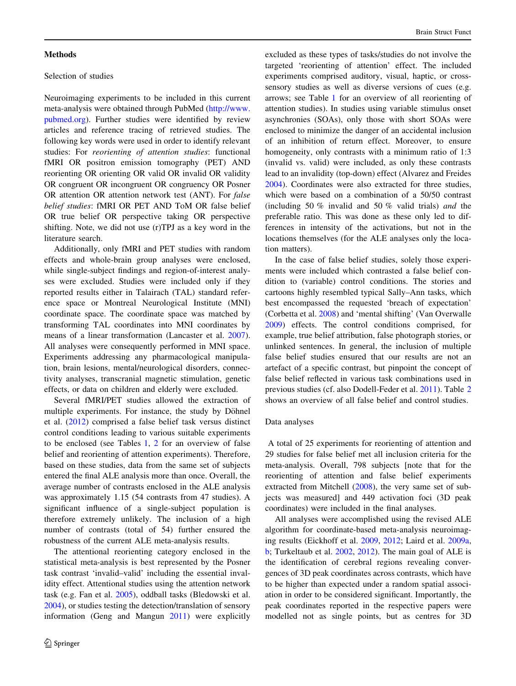### <span id="page-3-0"></span>**Methods**

# Selection of studies

Neuroimaging experiments to be included in this current meta-analysis were obtained through PubMed [\(http://www.](http://www.pubmed.org) [pubmed.org](http://www.pubmed.org)). Further studies were identified by review articles and reference tracing of retrieved studies. The following key words were used in order to identify relevant studies: For reorienting of attention studies: functional fMRI OR positron emission tomography (PET) AND reorienting OR orienting OR valid OR invalid OR validity OR congruent OR incongruent OR congruency OR Posner OR attention OR attention network test (ANT). For false belief studies: fMRI OR PET AND ToM OR false belief OR true belief OR perspective taking OR perspective shifting. Note, we did not use (r)TPJ as a key word in the literature search.

Additionally, only fMRI and PET studies with random effects and whole-brain group analyses were enclosed, while single-subject findings and region-of-interest analyses were excluded. Studies were included only if they reported results either in Talairach (TAL) standard reference space or Montreal Neurological Institute (MNI) coordinate space. The coordinate space was matched by transforming TAL coordinates into MNI coordinates by means of a linear transformation (Lancaster et al. [2007](#page-16-0)). All analyses were consequently performed in MNI space. Experiments addressing any pharmacological manipulation, brain lesions, mental/neurological disorders, connectivity analyses, transcranial magnetic stimulation, genetic effects, or data on children and elderly were excluded.

Several fMRI/PET studies allowed the extraction of multiple experiments. For instance, the study by Döhnel et al. [\(2012](#page-14-0)) comprised a false belief task versus distinct control conditions leading to various suitable experiments to be enclosed (see Tables [1](#page-4-0), [2](#page-5-0) for an overview of false belief and reorienting of attention experiments). Therefore, based on these studies, data from the same set of subjects entered the final ALE analysis more than once. Overall, the average number of contrasts enclosed in the ALE analysis was approximately 1.15 (54 contrasts from 47 studies). A significant influence of a single-subject population is therefore extremely unlikely. The inclusion of a high number of contrasts (total of 54) further ensured the robustness of the current ALE meta-analysis results.

The attentional reorienting category enclosed in the statistical meta-analysis is best represented by the Posner task contrast 'invalid–valid' including the essential invalidity effect. Attentional studies using the attention network task (e.g. Fan et al. [2005\)](#page-15-0), oddball tasks (Bledowski et al. [2004\)](#page-14-0), or studies testing the detection/translation of sensory information (Geng and Mangun [2011\)](#page-15-0) were explicitly excluded as these types of tasks/studies do not involve the targeted 'reorienting of attention' effect. The included experiments comprised auditory, visual, haptic, or crosssensory studies as well as diverse versions of cues (e.g. arrows; see Table [1](#page-4-0) for an overview of all reorienting of attention studies). In studies using variable stimulus onset asynchronies (SOAs), only those with short SOAs were enclosed to minimize the danger of an accidental inclusion of an inhibition of return effect. Moreover, to ensure homogeneity, only contrasts with a minimum ratio of 1:3 (invalid vs. valid) were included, as only these contrasts lead to an invalidity (top-down) effect (Alvarez and Freides [2004](#page-13-0)). Coordinates were also extracted for three studies, which were based on a combination of a 50/50 contrast (including 50 % invalid and 50 % valid trials) and the preferable ratio. This was done as these only led to differences in intensity of the activations, but not in the locations themselves (for the ALE analyses only the location matters).

In the case of false belief studies, solely those experiments were included which contrasted a false belief condition to (variable) control conditions. The stories and cartoons highly resembled typical Sally–Ann tasks, which best encompassed the requested 'breach of expectation' (Corbetta et al. [2008](#page-14-0)) and 'mental shifting' (Van Overwalle [2009](#page-17-0)) effects. The control conditions comprised, for example, true belief attribution, false photograph stories, or unlinked sentences. In general, the inclusion of multiple false belief studies ensured that our results are not an artefact of a specific contrast, but pinpoint the concept of false belief reflected in various task combinations used in previous studies (cf. also Dodell-Feder et al. [2011\)](#page-14-0). Table [2](#page-5-0) shows an overview of all false belief and control studies.

### Data analyses

A total of 25 experiments for reorienting of attention and 29 studies for false belief met all inclusion criteria for the meta-analysis. Overall, 798 subjects [note that for the reorienting of attention and false belief experiments extracted from Mitchell [\(2008](#page-16-0)), the very same set of subjects was measured] and 449 activation foci (3D peak coordinates) were included in the final analyses.

All analyses were accomplished using the revised ALE algorithm for coordinate-based meta-analysis neuroimaging results (Eickhoff et al. [2009,](#page-14-0) [2012;](#page-14-0) Laird et al. [2009a,](#page-16-0) [b](#page-16-0); Turkeltaub et al. [2002](#page-17-0), [2012\)](#page-17-0). The main goal of ALE is the identification of cerebral regions revealing convergences of 3D peak coordinates across contrasts, which have to be higher than expected under a random spatial association in order to be considered significant. Importantly, the peak coordinates reported in the respective papers were modelled not as single points, but as centres for 3D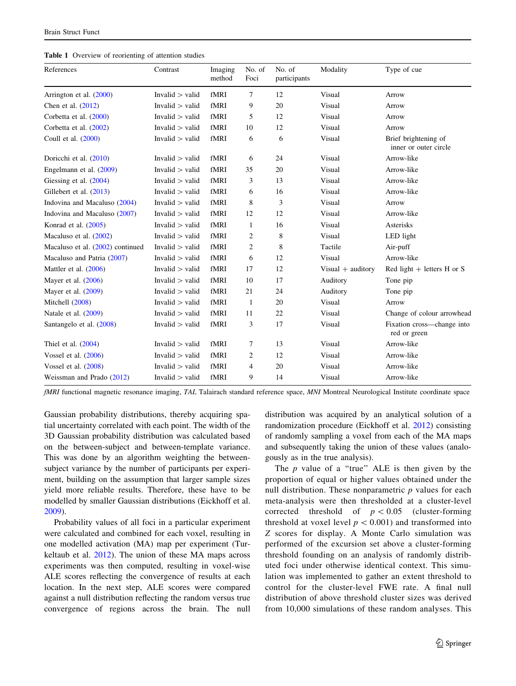<span id="page-4-0"></span>

|  |  | <b>Table 1</b> Overview of reorienting of attention studies |  |  |  |
|--|--|-------------------------------------------------------------|--|--|--|
|--|--|-------------------------------------------------------------|--|--|--|

| References                       | Contrast          | Imaging<br>method | No. of<br>Foci | No. of<br>participants | Modality            | Type of cue                                   |
|----------------------------------|-------------------|-------------------|----------------|------------------------|---------------------|-----------------------------------------------|
| Arrington et al. (2000)          | Invalid $>$ valid | fMRI              | $\tau$         | 12                     | Visual              | Arrow                                         |
| Chen et al. (2012)               | Invalid $>$ valid | fMRI              | 9              | 20                     | Visual              | Arrow                                         |
| Corbetta et al. (2000)           | Invalid $>$ valid | fMRI              | 5              | 12                     | Visual              | Arrow                                         |
| Corbetta et al. $(2002)$         | Invalid $>$ valid | fMRI              | 10             | 12                     | Visual              | Arrow                                         |
| Coull et al. (2000)              | Invalid $>$ valid | fMRI              | 6              | 6                      | Visual              | Brief brightening of<br>inner or outer circle |
| Doricchi et al. (2010)           | Invalid $>$ valid | fMRI              | 6              | 24                     | Visual              | Arrow-like                                    |
| Engelmann et al. (2009)          | Invalid $>$ valid | fMRI              | 35             | 20                     | Visual              | Arrow-like                                    |
| Giessing et al. (2004)           | Invalid $>$ valid | fMRI              | 3              | 13                     | Visual              | Arrow-like                                    |
| Gillebert et al. $(2013)$        | Invalid $>$ valid | fMRI              | 6              | 16                     | Visual              | Arrow-like                                    |
| Indovina and Macaluso (2004)     | Invalid $>$ valid | fMRI              | 8              | 3                      | Visual              | Arrow                                         |
| Indovina and Macaluso (2007)     | Invalid $>$ valid | fMRI              | 12             | 12                     | Visual              | Arrow-like                                    |
| Konrad et al. $(2005)$           | Invalid $>$ valid | fMRI              | $\mathbf{1}$   | 16                     | Visual              | Asterisks                                     |
| Macaluso et al. $(2002)$         | Invalid $>$ valid | fMRI              | 2              | 8                      | Visual              | LED light                                     |
| Macaluso et al. (2002) continued | Invalid $>$ valid | fMRI              | 2              | 8                      | Tactile             | Air-puff                                      |
| Macaluso and Patria (2007)       | Invalid $>$ valid | fMRI              | 6              | 12                     | Visual              | Arrow-like                                    |
| Mattler et al. $(2006)$          | Invalid $>$ valid | fMRI              | 17             | 12                     | $Visual + auditory$ | Red light $+$ letters H or S                  |
| Mayer et al. $(2006)$            | Invalid $>$ valid | fMRI              | 10             | 17                     | Auditory            | Tone pip                                      |
| Mayer et al. $(2009)$            | Invalid $>$ valid | fMRI              | 21             | 24                     | Auditory            | Tone pip                                      |
| Mitchell (2008)                  | Invalid $>$ valid | fMRI              | $\mathbf{1}$   | 20                     | Visual              | Arrow                                         |
| Natale et al. (2009)             | Invalid $>$ valid | fMRI              | 11             | 22                     | Visual              | Change of colour arrowhead                    |
| Santangelo et al. (2008)         | Invalid $>$ valid | fMRI              | $\mathfrak{Z}$ | 17                     | Visual              | Fixation cross—change into<br>red or green    |
| Thiel et al. $(2004)$            | Invalid $>$ valid | fMRI              | 7              | 13                     | Visual              | Arrow-like                                    |
| Vossel et al. $(2006)$           | Invalid $>$ valid | fMRI              | 2              | 12                     | Visual              | Arrow-like                                    |
| Vossel et al. $(2008)$           | Invalid $>$ valid | fMRI              | 4              | 20                     | Visual              | Arrow-like                                    |
| Weissman and Prado (2012)        | Invalid $>$ valid | fMRI              | 9              | 14                     | Visual              | Arrow-like                                    |

fMRI functional magnetic resonance imaging, TAL Talairach standard reference space, MNI Montreal Neurological Institute coordinate space

Gaussian probability distributions, thereby acquiring spatial uncertainty correlated with each point. The width of the 3D Gaussian probability distribution was calculated based on the between-subject and between-template variance. This was done by an algorithm weighting the betweensubject variance by the number of participants per experiment, building on the assumption that larger sample sizes yield more reliable results. Therefore, these have to be modelled by smaller Gaussian distributions (Eickhoff et al. [2009\)](#page-14-0).

Probability values of all foci in a particular experiment were calculated and combined for each voxel, resulting in one modelled activation (MA) map per experiment (Turkeltaub et al. [2012](#page-17-0)). The union of these MA maps across experiments was then computed, resulting in voxel-wise ALE scores reflecting the convergence of results at each location. In the next step, ALE scores were compared against a null distribution reflecting the random versus true convergence of regions across the brain. The null distribution was acquired by an analytical solution of a randomization procedure (Eickhoff et al. [2012\)](#page-14-0) consisting of randomly sampling a voxel from each of the MA maps and subsequently taking the union of these values (analogously as in the true analysis).

The  $p$  value of a "true" ALE is then given by the proportion of equal or higher values obtained under the null distribution. These nonparametric  $p$  values for each meta-analysis were then thresholded at a cluster-level corrected threshold of  $p < 0.05$  (cluster-forming threshold at voxel level  $p \, < 0.001$ ) and transformed into Z scores for display. A Monte Carlo simulation was performed of the excursion set above a cluster-forming threshold founding on an analysis of randomly distributed foci under otherwise identical context. This simulation was implemented to gather an extent threshold to control for the cluster-level FWE rate. A final null distribution of above threshold cluster sizes was derived from 10,000 simulations of these random analyses. This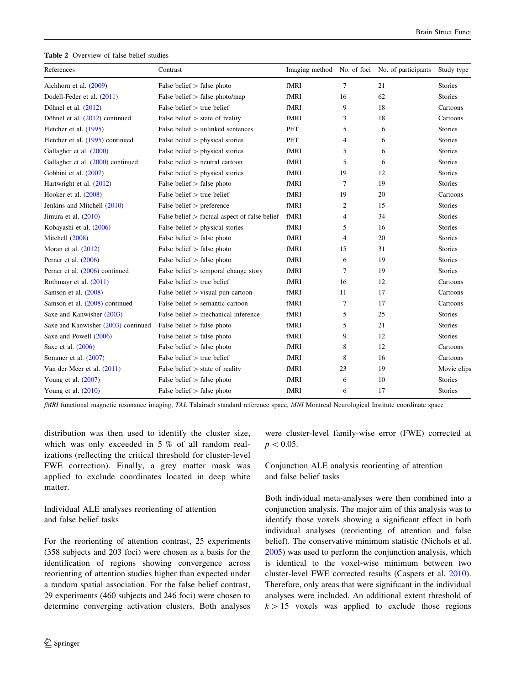<span id="page-5-0"></span>Table 2 Overview of false belief studies

| References                          | Contrast                                        |      |    | Imaging method No. of foci No. of participants | Study type     |
|-------------------------------------|-------------------------------------------------|------|----|------------------------------------------------|----------------|
| Aichhorn et al. (2009)              | False belief $>$ false photo                    | fMRI | 7  | 21                                             | <b>Stories</b> |
| Dodell-Feder et al. (2011)          | False belief $>$ false photo/map                | fMRI | 16 | 62                                             | <b>Stories</b> |
| Döhnel et al. $(2012)$              | False belief $>$ true belief                    | fMRI | 9  | 18                                             | Cartoons       |
| Döhnel et al. (2012) continued      | False belief $>$ state of reality               | fMRI | 3  | 18                                             | Cartoons       |
| Fletcher et al. (1995)              | False belief $>$ unlinked sentences             | PET  | 5  | 6                                              | <b>Stories</b> |
| Fletcher et al. (1995) continued    | False belief $>$ physical stories               | PET  | 4  | 6                                              | <b>Stories</b> |
| Gallagher et al. (2000)             | False belief $>$ physical stories               | fMRI | 5  | 6                                              | <b>Stories</b> |
| Gallagher et al. (2000) continued   | False belief > neutral cartoon                  | fMRI | 5  | 6                                              | <b>Stories</b> |
| Gobbini et al. (2007)               | False belief $>$ physical stories               | fMRI | 19 | 12                                             | <b>Stories</b> |
| Hartwright et al. (2012)            | False belief $>$ false photo                    | fMRI | 7  | 19                                             | <b>Stories</b> |
| Hooker et al. $(2008)$              | False belief $>$ true belief                    | fMRI | 19 | 20                                             | Cartoons       |
| Jenkins and Mitchell (2010)         | False belief $>$ preference                     | fMRI | 2  | 15                                             | <b>Stories</b> |
| Jimura et al. $(2010)$              | False belief $>$ factual aspect of false belief | fMRI | 4  | 34                                             | <b>Stories</b> |
| Kobayashi et al. (2006)             | False belief $>$ physical stories               | fMRI | 5  | 16                                             | <b>Stories</b> |
| Mitchell (2008)                     | False belief $>$ false photo                    | fMRI | 4  | 20                                             | <b>Stories</b> |
| Moran et al. $(2012)$               | False belief $>$ false photo                    | fMRI | 15 | 31                                             | <b>Stories</b> |
| Perner et al. $(2006)$              | False belief $>$ false photo                    | fMRI | 6  | 19                                             | <b>Stories</b> |
| Perner et al. (2006) continued      | False belief $>$ temporal change story          | fMRI | 7  | 19                                             | <b>Stories</b> |
| Rothmayr et al. (2011)              | False belief $>$ true belief                    | fMRI | 16 | 12                                             | Cartoons       |
| Samson et al. (2008)                | False belief $>$ visual pun cartoon             | fMRI | 11 | 17                                             | Cartoons       |
| Samson et al. (2008) continued      | False belief $>$ semantic cartoon               | fMRI | 7  | 17                                             | Cartoons       |
| Saxe and Kanwisher (2003)           | False belief $>$ mechanical inference           | fMRI | 5  | 25                                             | <b>Stories</b> |
| Saxe and Kanwisher (2003) continued | False belief $>$ false photo                    | fMRI | 5  | 21                                             | <b>Stories</b> |
| Saxe and Powell (2006)              | False belief $>$ false photo                    | fMRI | 9  | 12                                             | <b>Stories</b> |
| Saxe et al. (2006)                  | False belief $>$ false photo                    | fMRI | 8  | 12                                             | Cartoons       |
| Sommer et al. $(2007)$              | False belief $>$ true belief                    | fMRI | 8  | 16                                             | Cartoons       |
| Van der Meer et al. (2011)          | False belief $>$ state of reality               | fMRI | 23 | 19                                             | Movie clips    |
| Young et al. $(2007)$               | False belief $>$ false photo                    | fMRI | 6  | 10                                             | <b>Stories</b> |
| Young et al. $(2010)$               | False belief $>$ false photo                    | fMRI | 6  | 17                                             | <b>Stories</b> |

fMRI functional magnetic resonance imaging, TAL Talairach standard reference space, MNI Montreal Neurological Institute coordinate space

distribution was then used to identify the cluster size, which was only exceeded in 5 % of all random realizations (reflecting the critical threshold for cluster-level FWE correction). Finally, a grey matter mask was applied to exclude coordinates located in deep white matter.

Individual ALE analyses reorienting of attention and false belief tasks

For the reorienting of attention contrast, 25 experiments (358 subjects and 203 foci) were chosen as a basis for the identification of regions showing convergence across reorienting of attention studies higher than expected under a random spatial association. For the false belief contrast, 29 experiments (460 subjects and 246 foci) were chosen to determine converging activation clusters. Both analyses were cluster-level family-wise error (FWE) corrected at  $p<0.05$ .

Conjunction ALE analysis reorienting of attention and false belief tasks

Both individual meta-analyses were then combined into a conjunction analysis. The major aim of this analysis was to identify those voxels showing a significant effect in both individual analyses (reorienting of attention and false belief). The conservative minimum statistic (Nichols et al. [2005](#page-16-0)) was used to perform the conjunction analysis, which is identical to the voxel-wise minimum between two cluster-level FWE corrected results (Caspers et al. [2010](#page-14-0)). Therefore, only areas that were significant in the individual analyses were included. An additional extent threshold of  $k > 15$  voxels was applied to exclude those regions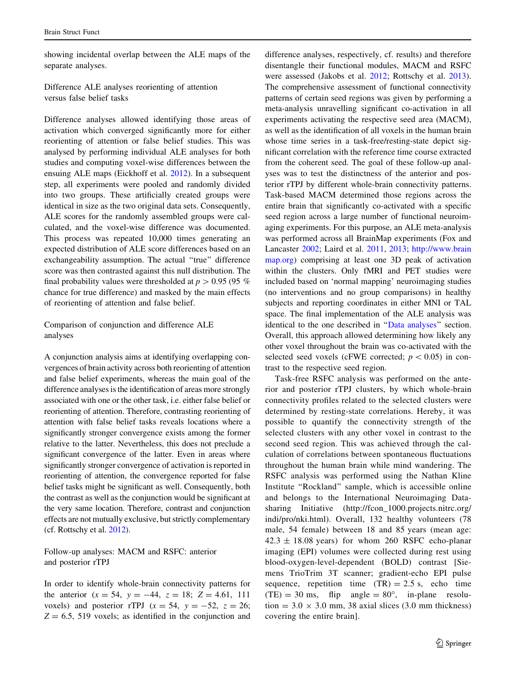showing incidental overlap between the ALE maps of the separate analyses.

Difference ALE analyses reorienting of attention versus false belief tasks

Difference analyses allowed identifying those areas of activation which converged significantly more for either reorienting of attention or false belief studies. This was analysed by performing individual ALE analyses for both studies and computing voxel-wise differences between the ensuing ALE maps (Eickhoff et al. [2012\)](#page-14-0). In a subsequent step, all experiments were pooled and randomly divided into two groups. These artificially created groups were identical in size as the two original data sets. Consequently, ALE scores for the randomly assembled groups were calculated, and the voxel-wise difference was documented. This process was repeated 10,000 times generating an expected distribution of ALE score differences based on an exchangeability assumption. The actual "true" difference score was then contrasted against this null distribution. The final probability values were thresholded at  $p > 0.95$  (95 %) chance for true difference) and masked by the main effects of reorienting of attention and false belief.

Comparison of conjunction and difference ALE analyses

A conjunction analysis aims at identifying overlapping convergences of brain activity across both reorienting of attention and false belief experiments, whereas the main goal of the difference analyses is the identification of areas more strongly associated with one or the other task, i.e. either false belief or reorienting of attention. Therefore, contrasting reorienting of attention with false belief tasks reveals locations where a significantly stronger convergence exists among the former relative to the latter. Nevertheless, this does not preclude a significant convergence of the latter. Even in areas where significantly stronger convergence of activation is reported in reorienting of attention, the convergence reported for false belief tasks might be significant as well. Consequently, both the contrast as well as the conjunction would be significant at the very same location. Therefore, contrast and conjunction effects are not mutually exclusive, but strictly complementary (cf. Rottschy et al. [2012](#page-16-0)).

Follow-up analyses: MACM and RSFC: anterior and posterior rTPJ

In order to identify whole-brain connectivity patterns for the anterior  $(x = 54, y = -44, z = 18; Z = 4.61, 111$ voxels) and posterior rTPJ ( $x = 54$ ,  $y = -52$ ,  $z = 26$ ;  $Z = 6.5$ , 519 voxels; as identified in the conjunction and difference analyses, respectively, cf. results) and therefore disentangle their functional modules, MACM and RSFC were assessed (Jakobs et al. [2012;](#page-15-0) Rottschy et al. [2013](#page-16-0)). The comprehensive assessment of functional connectivity patterns of certain seed regions was given by performing a meta-analysis unravelling significant co-activation in all experiments activating the respective seed area (MACM), as well as the identification of all voxels in the human brain whose time series in a task-free/resting-state depict significant correlation with the reference time course extracted from the coherent seed. The goal of these follow-up analyses was to test the distinctness of the anterior and posterior rTPJ by different whole-brain connectivity patterns. Task-based MACM determined those regions across the entire brain that significantly co-activated with a specific seed region across a large number of functional neuroimaging experiments. For this purpose, an ALE meta-analysis was performed across all BrainMap experiments (Fox and Lancaster [2002;](#page-15-0) Laird et al. [2011,](#page-15-0) [2013](#page-16-0); [http://www.brain](http://www.brainmap.org) [map.org](http://www.brainmap.org)) comprising at least one 3D peak of activation within the clusters. Only fMRI and PET studies were included based on 'normal mapping' neuroimaging studies (no interventions and no group comparisons) in healthy subjects and reporting coordinates in either MNI or TAL space. The final implementation of the ALE analysis was identical to the one described in '['Data analyses](#page-3-0)'' section. Overall, this approach allowed determining how likely any other voxel throughout the brain was co-activated with the selected seed voxels (cFWE corrected;  $p < 0.05$ ) in contrast to the respective seed region.

Task-free RSFC analysis was performed on the anterior and posterior rTPJ clusters, by which whole-brain connectivity profiles related to the selected clusters were determined by resting-state correlations. Hereby, it was possible to quantify the connectivity strength of the selected clusters with any other voxel in contrast to the second seed region. This was achieved through the calculation of correlations between spontaneous fluctuations throughout the human brain while mind wandering. The RSFC analysis was performed using the Nathan Kline Institute ''Rockland'' sample, which is accessible online and belongs to the International Neuroimaging Datasharing Initiative (http://fcon\_1000.projects.nitrc.org/ indi/pro/nki.html). Overall, 132 healthy volunteers (78 male, 54 female) between 18 and 85 years (mean age:  $42.3 \pm 18.08$  years) for whom 260 RSFC echo-planar imaging (EPI) volumes were collected during rest using blood-oxygen-level-dependent (BOLD) contrast [Siemens TrioTrim 3T scanner; gradient-echo EPI pulse sequence, repetition time  $(TR) = 2.5$  s, echo time  $(TE) = 30$  ms, flip angle =  $80^{\circ}$ , in-plane resolution =  $3.0 \times 3.0$  mm, 38 axial slices (3.0 mm thickness) covering the entire brain].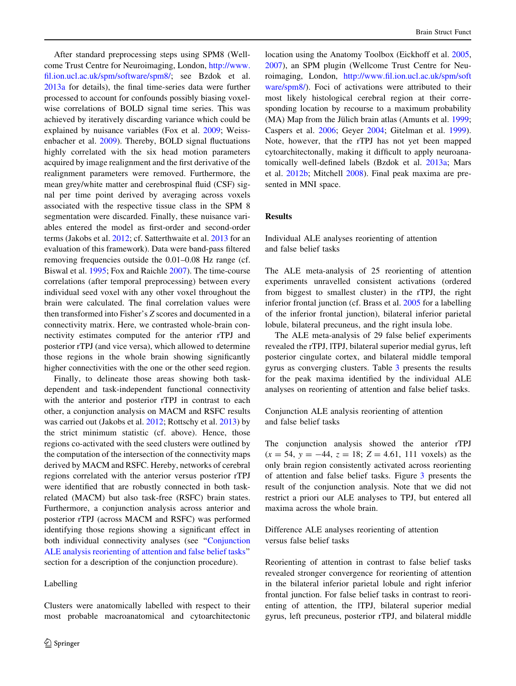After standard preprocessing steps using SPM8 (Wellcome Trust Centre for Neuroimaging, London, [http://www.](http://www.fil.ion.ucl.ac.uk/spm/software/spm8/) [fil.ion.ucl.ac.uk/spm/software/spm8/](http://www.fil.ion.ucl.ac.uk/spm/software/spm8/); see Bzdok et al. [2013a](#page-14-0) for details), the final time-series data were further processed to account for confounds possibly biasing voxelwise correlations of BOLD signal time series. This was achieved by iteratively discarding variance which could be explained by nuisance variables (Fox et al. [2009;](#page-15-0) Weissenbacher et al. [2009](#page-17-0)). Thereby, BOLD signal fluctuations highly correlated with the six head motion parameters acquired by image realignment and the first derivative of the realignment parameters were removed. Furthermore, the mean grey/white matter and cerebrospinal fluid (CSF) signal per time point derived by averaging across voxels associated with the respective tissue class in the SPM 8 segmentation were discarded. Finally, these nuisance variables entered the model as first-order and second-order terms (Jakobs et al. [2012;](#page-15-0) cf. Satterthwaite et al. [2013](#page-17-0) for an evaluation of this framework). Data were band-pass filtered removing frequencies outside the 0.01–0.08 Hz range (cf. Biswal et al. [1995;](#page-14-0) Fox and Raichle [2007\)](#page-15-0). The time-course correlations (after temporal preprocessing) between every individual seed voxel with any other voxel throughout the brain were calculated. The final correlation values were then transformed into Fisher's Z scores and documented in a connectivity matrix. Here, we contrasted whole-brain connectivity estimates computed for the anterior rTPJ and posterior rTPJ (and vice versa), which allowed to determine those regions in the whole brain showing significantly higher connectivities with the one or the other seed region.

Finally, to delineate those areas showing both taskdependent and task-independent functional connectivity with the anterior and posterior rTPJ in contrast to each other, a conjunction analysis on MACM and RSFC results was carried out (Jakobs et al. [2012;](#page-15-0) Rottschy et al. [2013](#page-16-0)) by the strict minimum statistic (cf. above). Hence, those regions co-activated with the seed clusters were outlined by the computation of the intersection of the connectivity maps derived by MACM and RSFC. Hereby, networks of cerebral regions correlated with the anterior versus posterior rTPJ were identified that are robustly connected in both taskrelated (MACM) but also task-free (RSFC) brain states. Furthermore, a conjunction analysis across anterior and posterior rTPJ (across MACM and RSFC) was performed identifying those regions showing a significant effect in both individual connectivity analyses (see ''[Conjunction](#page-5-0) [ALE analysis reorienting of attention and false belief tasks'](#page-5-0)' section for a description of the conjunction procedure).

# Labelling

Clusters were anatomically labelled with respect to their most probable macroanatomical and cytoarchitectonic location using the Anatomy Toolbox (Eickhoff et al. [2005,](#page-15-0) [2007](#page-14-0)), an SPM plugin (Wellcome Trust Centre for Neuroimaging, London, [http://www.fil.ion.ucl.ac.uk/spm/soft](http://www.fil.ion.ucl.ac.uk/spm/software/spm8/) [ware/spm8/\)](http://www.fil.ion.ucl.ac.uk/spm/software/spm8/). Foci of activations were attributed to their most likely histological cerebral region at their corresponding location by recourse to a maximum probability  $(MA)$  Map from the Jülich brain atlas (Amunts et al. [1999](#page-14-0); Caspers et al. [2006;](#page-14-0) Geyer [2004;](#page-15-0) Gitelman et al. [1999](#page-15-0)). Note, however, that the rTPJ has not yet been mapped cytoarchitectonally, making it difficult to apply neuroanatomically well-defined labels (Bzdok et al. [2013a](#page-14-0); Mars et al. [2012b;](#page-16-0) Mitchell [2008\)](#page-16-0). Final peak maxima are presented in MNI space.

## Results

Individual ALE analyses reorienting of attention and false belief tasks

The ALE meta-analysis of 25 reorienting of attention experiments unravelled consistent activations (ordered from biggest to smallest cluster) in the rTPJ, the right inferior frontal junction (cf. Brass et al. [2005](#page-14-0) for a labelling of the inferior frontal junction), bilateral inferior parietal lobule, bilateral precuneus, and the right insula lobe.

The ALE meta-analysis of 29 false belief experiments revealed the rTPJ, lTPJ, bilateral superior medial gyrus, left posterior cingulate cortex, and bilateral middle temporal gyrus as converging clusters. Table [3](#page-8-0) presents the results for the peak maxima identified by the individual ALE analyses on reorienting of attention and false belief tasks.

Conjunction ALE analysis reorienting of attention and false belief tasks

The conjunction analysis showed the anterior rTPJ  $(x = 54, y = -44, z = 18; Z = 4.61, 111$  voxels) as the only brain region consistently activated across reorienting of attention and false belief tasks. Figure [3](#page-9-0) presents the result of the conjunction analysis. Note that we did not restrict a priori our ALE analyses to TPJ, but entered all maxima across the whole brain.

Difference ALE analyses reorienting of attention versus false belief tasks

Reorienting of attention in contrast to false belief tasks revealed stronger convergence for reorienting of attention in the bilateral inferior parietal lobule and right inferior frontal junction. For false belief tasks in contrast to reorienting of attention, the lTPJ, bilateral superior medial gyrus, left precuneus, posterior rTPJ, and bilateral middle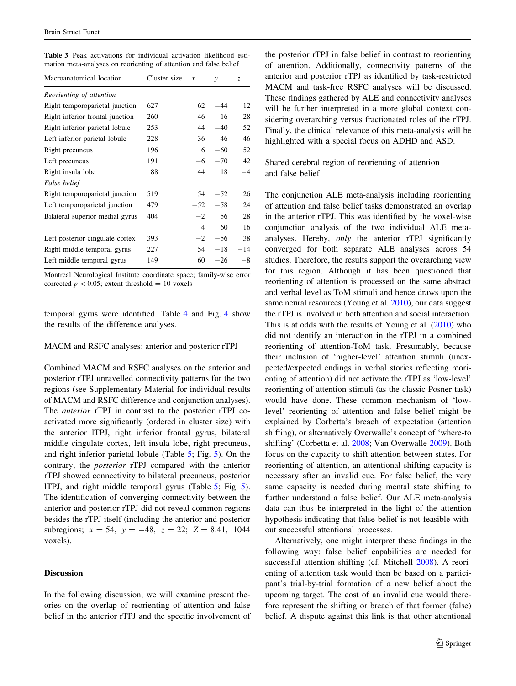<span id="page-8-0"></span>

|  |  |  | <b>Table 3</b> Peak activations for individual activation likelihood esti- |  |
|--|--|--|----------------------------------------------------------------------------|--|
|  |  |  | mation meta-analyses on reorienting of attention and false belief          |  |

| Macroanatomical location        | Cluster size | x     | y     | Z.    |
|---------------------------------|--------------|-------|-------|-------|
| Reorienting of attention        |              |       |       |       |
| Right temporoparietal junction  | 627          | 62    | -44   | 12    |
| Right inferior frontal junction | 260          | 46    | 16    | 28    |
| Right inferior parietal lobule  | 253          | 44    | $-40$ | 52    |
| Left inferior parietal lobule   | 228          | $-36$ | $-46$ | 46    |
| Right precuneus                 | 196          | 6     | $-60$ | 52    |
| Left precuneus                  | 191          | -6    | $-70$ | 42    |
| Right insula lobe               | 88           | 44    | 18    | $-4$  |
| False belief                    |              |       |       |       |
| Right temporoparietal junction  | 519          | 54    | $-52$ | 26    |
| Left temporoparietal junction   | 479          | $-52$ | $-58$ | 24    |
| Bilateral superior medial gyrus | 404          | $-2$  | 56    | 28    |
|                                 |              | 4     | 60    | 16    |
| Left posterior cingulate cortex | 393          | $-2$  | $-56$ | 38    |
| Right middle temporal gyrus     | 227          | 54    | $-18$ | $-14$ |
| Left middle temporal gyrus      | 149          | 60    | $-26$ | $-8$  |

Montreal Neurological Institute coordinate space; family-wise error corrected  $p < 0.05$ ; extent threshold = 10 voxels

temporal gyrus were identified. Table [4](#page-9-0) and Fig. [4](#page-9-0) show the results of the difference analyses.

### MACM and RSFC analyses: anterior and posterior rTPJ

Combined MACM and RSFC analyses on the anterior and posterior rTPJ unravelled connectivity patterns for the two regions (see Supplementary Material for individual results of MACM and RSFC difference and conjunction analyses). The anterior rTPJ in contrast to the posterior rTPJ coactivated more significantly (ordered in cluster size) with the anterior lTPJ, right inferior frontal gyrus, bilateral middle cingulate cortex, left insula lobe, right precuneus, and right inferior parietal lobule (Table [5;](#page-10-0) Fig. [5\)](#page-10-0). On the contrary, the posterior rTPJ compared with the anterior rTPJ showed connectivity to bilateral precuneus, posterior lTPJ, and right middle temporal gyrus (Table [5](#page-10-0); Fig. [5](#page-10-0)). The identification of converging connectivity between the anterior and posterior rTPJ did not reveal common regions besides the rTPJ itself (including the anterior and posterior subregions;  $x = 54$ ,  $y = -48$ ,  $z = 22$ ;  $Z = 8.41$ , 1044 voxels).

## Discussion

In the following discussion, we will examine present theories on the overlap of reorienting of attention and false belief in the anterior rTPJ and the specific involvement of the posterior rTPJ in false belief in contrast to reorienting of attention. Additionally, connectivity patterns of the anterior and posterior rTPJ as identified by task-restricted MACM and task-free RSFC analyses will be discussed. These findings gathered by ALE and connectivity analyses will be further interpreted in a more global context considering overarching versus fractionated roles of the rTPJ. Finally, the clinical relevance of this meta-analysis will be highlighted with a special focus on ADHD and ASD.

Shared cerebral region of reorienting of attention and false belief

The conjunction ALE meta-analysis including reorienting of attention and false belief tasks demonstrated an overlap in the anterior rTPJ. This was identified by the voxel-wise conjunction analysis of the two individual ALE metaanalyses. Hereby, only the anterior rTPJ significantly converged for both separate ALE analyses across 54 studies. Therefore, the results support the overarching view for this region. Although it has been questioned that reorienting of attention is processed on the same abstract and verbal level as ToM stimuli and hence draws upon the same neural resources (Young et al. [2010](#page-17-0)), our data suggest the rTPJ is involved in both attention and social interaction. This is at odds with the results of Young et al. ([2010\)](#page-17-0) who did not identify an interaction in the rTPJ in a combined reorienting of attention-ToM task. Presumably, because their inclusion of 'higher-level' attention stimuli (unexpected/expected endings in verbal stories reflecting reorienting of attention) did not activate the rTPJ as 'low-level' reorienting of attention stimuli (as the classic Posner task) would have done. These common mechanism of 'lowlevel' reorienting of attention and false belief might be explained by Corbetta's breach of expectation (attention shifting), or alternatively Overwalle's concept of 'where-to shifting' (Corbetta et al. [2008](#page-14-0); Van Overwalle [2009](#page-17-0)). Both focus on the capacity to shift attention between states. For reorienting of attention, an attentional shifting capacity is necessary after an invalid cue. For false belief, the very same capacity is needed during mental state shifting to further understand a false belief. Our ALE meta-analysis data can thus be interpreted in the light of the attention hypothesis indicating that false belief is not feasible without successful attentional processes.

Alternatively, one might interpret these findings in the following way: false belief capabilities are needed for successful attention shifting (cf. Mitchell [2008\)](#page-16-0). A reorienting of attention task would then be based on a participant's trial-by-trial formation of a new belief about the upcoming target. The cost of an invalid cue would therefore represent the shifting or breach of that former (false) belief. A dispute against this link is that other attentional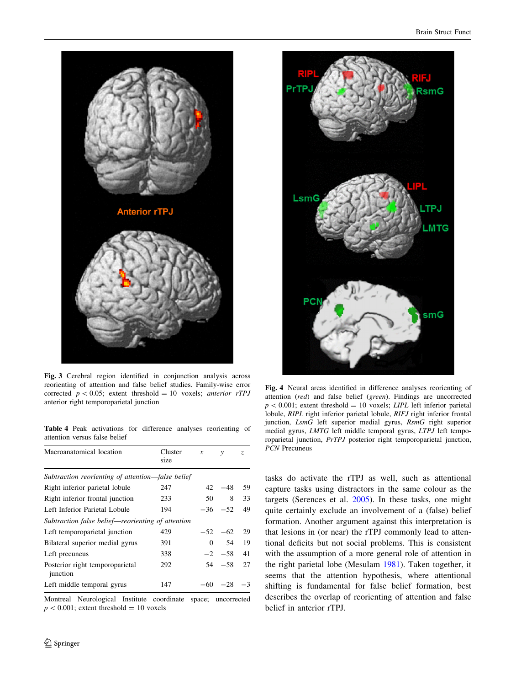<span id="page-9-0"></span>

Fig. 3 Cerebral region identified in conjunction analysis across reorienting of attention and false belief studies. Family-wise error corrected  $p < 0.05$ ; extent threshold = 10 voxels; anterior rTPJ anterior right temporoparietal junction

Table 4 Peak activations for difference analyses reorienting of attention versus false belief

| Macroanatomical location                          | Cluster<br>size | $\boldsymbol{x}$ | $\mathcal{V}$  | Z.   |
|---------------------------------------------------|-----------------|------------------|----------------|------|
| Subtraction reorienting of attention—false belief |                 |                  |                |      |
| Right inferior parietal lobule                    | 247             | 42               | $-48$          | 59   |
| Right inferior frontal junction                   | 233             | 50               | 8              | 33   |
| Left Inferior Parietal Lobule                     | 194             |                  | $-36 - 52$     | 49   |
| Subtraction false belief—reorienting of attention |                 |                  |                |      |
| Left temporoparietal junction                     | 429             |                  | $-52 -62$      | 29   |
| Bilateral superior medial gyrus                   | 391             |                  | 54<br>$\Omega$ | 19   |
| Left precuneus                                    | 338             |                  | $-2$ $-58$     | 41   |
| Posterior right temporoparietal<br>junction       | 292             |                  | $54 - 58$      | 27   |
| Left middle temporal gyrus                        | 147             | $-60$            | $-28$          | $-3$ |

Montreal Neurological Institute coordinate space; uncorrected  $p < 0.001$ ; extent threshold = 10 voxels



Fig. 4 Neural areas identified in difference analyses reorienting of attention (red) and false belief (green). Findings are uncorrected  $p < 0.001$ ; extent threshold = 10 voxels; LIPL left inferior parietal lobule, RIPL right inferior parietal lobule, RIFJ right inferior frontal junction, LsmG left superior medial gyrus, RsmG right superior medial gyrus, LMTG left middle temporal gyrus, LTPJ left temporoparietal junction, PrTPJ posterior right temporoparietal junction, PCN Precuneus

tasks do activate the rTPJ as well, such as attentional capture tasks using distractors in the same colour as the targets (Serences et al. [2005\)](#page-17-0). In these tasks, one might quite certainly exclude an involvement of a (false) belief formation. Another argument against this interpretation is that lesions in (or near) the rTPJ commonly lead to attentional deficits but not social problems. This is consistent with the assumption of a more general role of attention in the right parietal lobe (Mesulam [1981](#page-16-0)). Taken together, it seems that the attention hypothesis, where attentional shifting is fundamental for false belief formation, best describes the overlap of reorienting of attention and false belief in anterior rTPJ.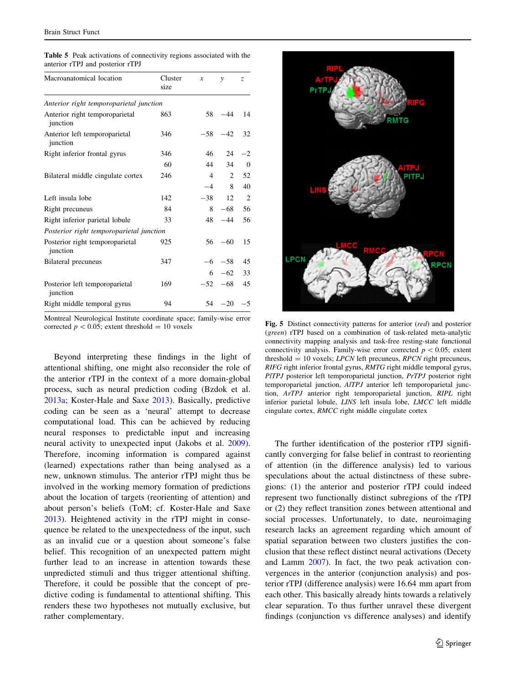| Macroanatomical location                    | Cluster<br>size | $\boldsymbol{x}$ | $\mathcal{V}$ | Z.       |
|---------------------------------------------|-----------------|------------------|---------------|----------|
| Anterior right temporoparietal junction     |                 |                  |               |          |
| Anterior right temporoparietal<br>junction  | 863             | 58               | $-44$         | 14       |
| Anterior left temporoparietal<br>junction   | 346             | $-58$            | $-42$         | 32       |
| Right inferior frontal gyrus                | 346             | 46               | 24            | $^{-2}$  |
|                                             | 60              | 44               | 34            | $\theta$ |
| Bilateral middle cingulate cortex           | 246             | $\overline{4}$   | 2             | 52       |
|                                             |                 | $-4$             | 8             | 40       |
| Left insula lobe                            | 142             | $-38$            | 12            | 2        |
| Right precuneus                             | 84              | 8                | $-68$         | 56       |
| Right inferior parietal lobule              | 33              | 48               | $-44$         | 56       |
| Posterior right temporoparietal junction    |                 |                  |               |          |
| Posterior right temporoparietal<br>junction | 925             | 56               | $-60$         | 15       |
| Bilateral precuneus                         | 347             | $-6$             | $-58$         | 45       |
|                                             |                 | 6                | $-62$         | 33       |
| Posterior left temporoparietal<br>junction  | 169             | $-52$            | $-68$         | 45       |
| Right middle temporal gyrus                 | 94              | 54               | $-20$         | $-5$     |

<span id="page-10-0"></span>Table 5 Peak activations of connectivity regions associated with the anterior rTPJ and posterior rTPJ

Montreal Neurological Institute coordinate space; family-wise error

Beyond interpreting these findings in the light of attentional shifting, one might also reconsider the role of the anterior rTPJ in the context of a more domain-global process, such as neural prediction coding (Bzdok et al. [2013a](#page-14-0); Koster-Hale and Saxe [2013\)](#page-15-0). Basically, predictive coding can be seen as a 'neural' attempt to decrease computational load. This can be achieved by reducing neural responses to predictable input and increasing neural activity to unexpected input (Jakobs et al. [2009](#page-15-0)). Therefore, incoming information is compared against (learned) expectations rather than being analysed as a new, unknown stimulus. The anterior rTPJ might thus be involved in the working memory formation of predictions about the location of targets (reorienting of attention) and about person's beliefs (ToM; cf. Koster-Hale and Saxe [2013\)](#page-15-0). Heightened activity in the rTPJ might in consequence be related to the unexpectedness of the input, such as an invalid cue or a question about someone's false belief. This recognition of an unexpected pattern might further lead to an increase in attention towards these unpredicted stimuli and thus trigger attentional shifting. Therefore, it could be possible that the concept of predictive coding is fundamental to attentional shifting. This renders these two hypotheses not mutually exclusive, but rather complementary.



corrected  $p < 0.05$ ; extent threshold = 10 voxels Fig. 5 Distinct connectivity patterns for anterior (red) and posterior (green) rTPJ based on a combination of task-related meta-analytic connectivity mapping analysis and task-free resting-state functional connectivity analysis. Family-wise error corrected  $p < 0.05$ ; extent threshold  $= 10$  voxels; *LPCN* left precuneus, *RPCN* right precuneus, RIFG right inferior frontal gyrus, RMTG right middle temporal gyrus, PITPJ posterior left temporoparietal junction, PrTPJ posterior right temporoparietal junction, AlTPJ anterior left temporoparietal junction, ArTPJ anterior right temporoparietal junction, RIPL right inferior parietal lobule, LINS left insula lobe, LMCC left middle cingulate cortex, RMCC right middle cingulate cortex

The further identification of the posterior rTPJ significantly converging for false belief in contrast to reorienting of attention (in the difference analysis) led to various speculations about the actual distinctness of these subregions: (1) the anterior and posterior rTPJ could indeed represent two functionally distinct subregions of the rTPJ or (2) they reflect transition zones between attentional and social processes. Unfortunately, to date, neuroimaging research lacks an agreement regarding which amount of spatial separation between two clusters justifies the conclusion that these reflect distinct neural activations (Decety and Lamm [2007](#page-14-0)). In fact, the two peak activation convergences in the anterior (conjunction analysis) and posterior rTPJ (difference analysis) were 16.64 mm apart from each other. This basically already hints towards a relatively clear separation. To thus further unravel these divergent findings (conjunction vs difference analyses) and identify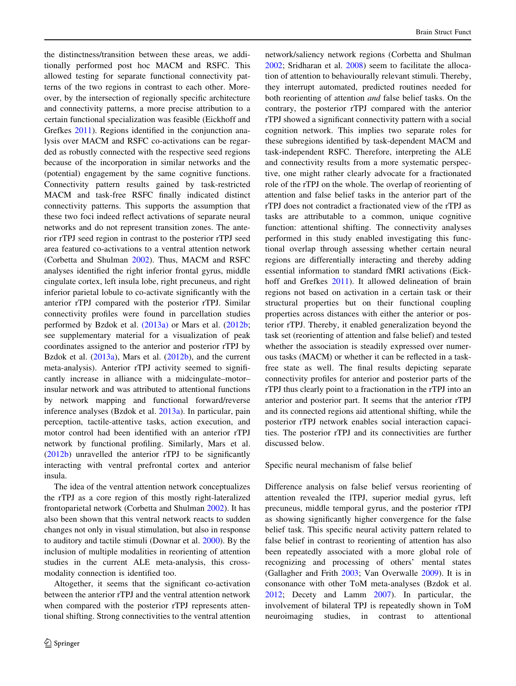the distinctness/transition between these areas, we additionally performed post hoc MACM and RSFC. This allowed testing for separate functional connectivity patterns of the two regions in contrast to each other. Moreover, by the intersection of regionally specific architecture and connectivity patterns, a more precise attribution to a certain functional specialization was feasible (Eickhoff and Grefkes [2011](#page-14-0)). Regions identified in the conjunction analysis over MACM and RSFC co-activations can be regarded as robustly connected with the respective seed regions because of the incorporation in similar networks and the (potential) engagement by the same cognitive functions. Connectivity pattern results gained by task-restricted MACM and task-free RSFC finally indicated distinct connectivity patterns. This supports the assumption that these two foci indeed reflect activations of separate neural networks and do not represent transition zones. The anterior rTPJ seed region in contrast to the posterior rTPJ seed area featured co-activations to a ventral attention network (Corbetta and Shulman [2002](#page-14-0)). Thus, MACM and RSFC analyses identified the right inferior frontal gyrus, middle cingulate cortex, left insula lobe, right precuneus, and right inferior parietal lobule to co-activate significantly with the anterior rTPJ compared with the posterior rTPJ. Similar connectivity profiles were found in parcellation studies performed by Bzdok et al. [\(2013a\)](#page-14-0) or Mars et al. [\(2012b](#page-16-0); see supplementary material for a visualization of peak coordinates assigned to the anterior and posterior rTPJ by Bzdok et al. ([2013a](#page-14-0)), Mars et al. ([2012b\)](#page-16-0), and the current meta-analysis). Anterior rTPJ activity seemed to significantly increase in alliance with a midcingulate–motor– insular network and was attributed to attentional functions by network mapping and functional forward/reverse inference analyses (Bzdok et al. [2013a\)](#page-14-0). In particular, pain perception, tactile-attentive tasks, action execution, and motor control had been identified with an anterior rTPJ network by functional profiling. Similarly, Mars et al. [\(2012b](#page-16-0)) unravelled the anterior rTPJ to be significantly interacting with ventral prefrontal cortex and anterior insula.

The idea of the ventral attention network conceptualizes the rTPJ as a core region of this mostly right-lateralized frontoparietal network (Corbetta and Shulman [2002\)](#page-14-0). It has also been shown that this ventral network reacts to sudden changes not only in visual stimulation, but also in response to auditory and tactile stimuli (Downar et al. [2000\)](#page-14-0). By the inclusion of multiple modalities in reorienting of attention studies in the current ALE meta-analysis, this crossmodality connection is identified too.

Altogether, it seems that the significant co-activation between the anterior rTPJ and the ventral attention network when compared with the posterior rTPJ represents attentional shifting. Strong connectivities to the ventral attention network/saliency network regions (Corbetta and Shulman [2002](#page-14-0); Sridharan et al. [2008](#page-17-0)) seem to facilitate the allocation of attention to behaviourally relevant stimuli. Thereby, they interrupt automated, predicted routines needed for both reorienting of attention and false belief tasks. On the contrary, the posterior rTPJ compared with the anterior rTPJ showed a significant connectivity pattern with a social cognition network. This implies two separate roles for these subregions identified by task-dependent MACM and task-independent RSFC. Therefore, interpreting the ALE and connectivity results from a more systematic perspective, one might rather clearly advocate for a fractionated role of the rTPJ on the whole. The overlap of reorienting of attention and false belief tasks in the anterior part of the rTPJ does not contradict a fractionated view of the rTPJ as tasks are attributable to a common, unique cognitive function: attentional shifting. The connectivity analyses performed in this study enabled investigating this functional overlap through assessing whether certain neural regions are differentially interacting and thereby adding essential information to standard fMRI activations (Eick-hoff and Grefkes [2011](#page-14-0)). It allowed delineation of brain regions not based on activation in a certain task or their structural properties but on their functional coupling properties across distances with either the anterior or posterior rTPJ. Thereby, it enabled generalization beyond the task set (reorienting of attention and false belief) and tested whether the association is steadily expressed over numerous tasks (MACM) or whether it can be reflected in a taskfree state as well. The final results depicting separate connectivity profiles for anterior and posterior parts of the rTPJ thus clearly point to a fractionation in the rTPJ into an anterior and posterior part. It seems that the anterior rTPJ and its connected regions aid attentional shifting, while the posterior rTPJ network enables social interaction capacities. The posterior rTPJ and its connectivities are further discussed below.

Specific neural mechanism of false belief

Difference analysis on false belief versus reorienting of attention revealed the lTPJ, superior medial gyrus, left precuneus, middle temporal gyrus, and the posterior rTPJ as showing significantly higher convergence for the false belief task. This specific neural activity pattern related to false belief in contrast to reorienting of attention has also been repeatedly associated with a more global role of recognizing and processing of others' mental states (Gallagher and Frith [2003](#page-15-0); Van Overwalle [2009\)](#page-17-0). It is in consonance with other ToM meta-analyses (Bzdok et al. [2012](#page-14-0); Decety and Lamm [2007\)](#page-14-0). In particular, the involvement of bilateral TPJ is repeatedly shown in ToM neuroimaging studies, in contrast to attentional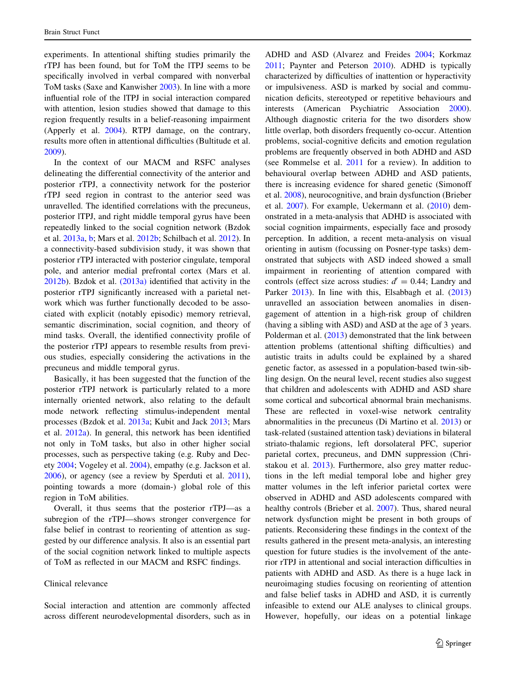experiments. In attentional shifting studies primarily the rTPJ has been found, but for ToM the lTPJ seems to be specifically involved in verbal compared with nonverbal ToM tasks (Saxe and Kanwisher [2003](#page-17-0)). In line with a more influential role of the lTPJ in social interaction compared with attention, lesion studies showed that damage to this region frequently results in a belief-reasoning impairment (Apperly et al. [2004](#page-14-0)). RTPJ damage, on the contrary, results more often in attentional difficulties (Bultitude et al. [2009\)](#page-14-0).

In the context of our MACM and RSFC analyses delineating the differential connectivity of the anterior and posterior rTPJ, a connectivity network for the posterior rTPJ seed region in contrast to the anterior seed was unravelled. The identified correlations with the precuneus, posterior lTPJ, and right middle temporal gyrus have been repeatedly linked to the social cognition network (Bzdok et al. [2013a,](#page-14-0) [b;](#page-14-0) Mars et al. [2012b](#page-16-0); Schilbach et al. [2012](#page-17-0)). In a connectivity-based subdivision study, it was shown that posterior rTPJ interacted with posterior cingulate, temporal pole, and anterior medial prefrontal cortex (Mars et al. [2012b\)](#page-16-0). Bzdok et al. [\(2013a\)](#page-14-0) identified that activity in the posterior rTPJ significantly increased with a parietal network which was further functionally decoded to be associated with explicit (notably episodic) memory retrieval, semantic discrimination, social cognition, and theory of mind tasks. Overall, the identified connectivity profile of the posterior rTPJ appears to resemble results from previous studies, especially considering the activations in the precuneus and middle temporal gyrus.

Basically, it has been suggested that the function of the posterior rTPJ network is particularly related to a more internally oriented network, also relating to the default mode network reflecting stimulus-independent mental processes (Bzdok et al. [2013a;](#page-14-0) Kubit and Jack [2013;](#page-15-0) Mars et al. [2012a\)](#page-16-0). In general, this network has been identified not only in ToM tasks, but also in other higher social processes, such as perspective taking (e.g. Ruby and Decety [2004;](#page-16-0) Vogeley et al. [2004\)](#page-17-0), empathy (e.g. Jackson et al. [2006\)](#page-15-0), or agency (see a review by Sperduti et al. [2011](#page-17-0)), pointing towards a more (domain-) global role of this region in ToM abilities.

Overall, it thus seems that the posterior rTPJ—as a subregion of the rTPJ—shows stronger convergence for false belief in contrast to reorienting of attention as suggested by our difference analysis. It also is an essential part of the social cognition network linked to multiple aspects of ToM as reflected in our MACM and RSFC findings.

## Clinical relevance

Social interaction and attention are commonly affected across different neurodevelopmental disorders, such as in ADHD and ASD (Alvarez and Freides [2004](#page-13-0); Korkmaz [2011](#page-15-0); Paynter and Peterson [2010\)](#page-16-0). ADHD is typically characterized by difficulties of inattention or hyperactivity or impulsiveness. ASD is marked by social and communication deficits, stereotyped or repetitive behaviours and interests (American Psychiatric Association [2000](#page-14-0)). Although diagnostic criteria for the two disorders show little overlap, both disorders frequently co-occur. Attention problems, social-cognitive deficits and emotion regulation problems are frequently observed in both ADHD and ASD (see Rommelse et al. [2011](#page-16-0) for a review). In addition to behavioural overlap between ADHD and ASD patients, there is increasing evidence for shared genetic (Simonoff et al. [2008](#page-17-0)), neurocognitive, and brain dysfunction (Brieber et al. [2007\)](#page-14-0). For example, Uekermann et al. ([2010\)](#page-17-0) demonstrated in a meta-analysis that ADHD is associated with social cognition impairments, especially face and prosody perception. In addition, a recent meta-analysis on visual orienting in autism (focussing on Posner-type tasks) demonstrated that subjects with ASD indeed showed a small impairment in reorienting of attention compared with controls (effect size across studies:  $d' = 0.44$ ; Landry and Parker [2013\)](#page-15-0). In line with this, Elsabbagh et al. (2013) unravelled an association between anomalies in disengagement of attention in a high-risk group of children (having a sibling with ASD) and ASD at the age of 3 years. Polderman et al. ([2013\)](#page-16-0) demonstrated that the link between attention problems (attentional shifting difficulties) and autistic traits in adults could be explained by a shared genetic factor, as assessed in a population-based twin-sibling design. On the neural level, recent studies also suggest that children and adolescents with ADHD and ASD share some cortical and subcortical abnormal brain mechanisms. These are reflected in voxel-wise network centrality abnormalities in the precuneus (Di Martino et al. [2013](#page-14-0)) or task-related (sustained attention task) deviations in bilateral striato-thalamic regions, left dorsolateral PFC, superior parietal cortex, precuneus, and DMN suppression (Christakou et al. [2013](#page-14-0)). Furthermore, also grey matter reductions in the left medial temporal lobe and higher grey matter volumes in the left inferior parietal cortex were observed in ADHD and ASD adolescents compared with healthy controls (Brieber et al. [2007\)](#page-14-0). Thus, shared neural network dysfunction might be present in both groups of patients. Reconsidering these findings in the context of the results gathered in the present meta-analysis, an interesting question for future studies is the involvement of the anterior rTPJ in attentional and social interaction difficulties in patients with ADHD and ASD. As there is a huge lack in neuroimaging studies focusing on reorienting of attention and false belief tasks in ADHD and ASD, it is currently infeasible to extend our ALE analyses to clinical groups. However, hopefully, our ideas on a potential linkage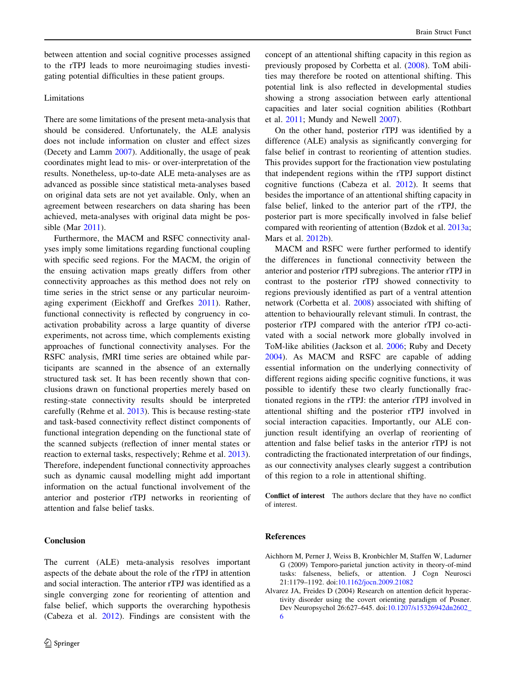<span id="page-13-0"></span>between attention and social cognitive processes assigned to the rTPJ leads to more neuroimaging studies investigating potential difficulties in these patient groups.

# Limitations

There are some limitations of the present meta-analysis that should be considered. Unfortunately, the ALE analysis does not include information on cluster and effect sizes (Decety and Lamm [2007\)](#page-14-0). Additionally, the usage of peak coordinates might lead to mis- or over-interpretation of the results. Nonetheless, up-to-date ALE meta-analyses are as advanced as possible since statistical meta-analyses based on original data sets are not yet available. Only, when an agreement between researchers on data sharing has been achieved, meta-analyses with original data might be possible (Mar [2011\)](#page-16-0).

Furthermore, the MACM and RSFC connectivity analyses imply some limitations regarding functional coupling with specific seed regions. For the MACM, the origin of the ensuing activation maps greatly differs from other connectivity approaches as this method does not rely on time series in the strict sense or any particular neuroimaging experiment (Eickhoff and Grefkes [2011\)](#page-14-0). Rather, functional connectivity is reflected by congruency in coactivation probability across a large quantity of diverse experiments, not across time, which complements existing approaches of functional connectivity analyses. For the RSFC analysis, fMRI time series are obtained while participants are scanned in the absence of an externally structured task set. It has been recently shown that conclusions drawn on functional properties merely based on resting-state connectivity results should be interpreted carefully (Rehme et al. [2013\)](#page-16-0). This is because resting-state and task-based connectivity reflect distinct components of functional integration depending on the functional state of the scanned subjects (reflection of inner mental states or reaction to external tasks, respectively; Rehme et al. [2013](#page-16-0)). Therefore, independent functional connectivity approaches such as dynamic causal modelling might add important information on the actual functional involvement of the anterior and posterior rTPJ networks in reorienting of attention and false belief tasks.

# Conclusion

The current (ALE) meta-analysis resolves important aspects of the debate about the role of the rTPJ in attention and social interaction. The anterior rTPJ was identified as a single converging zone for reorienting of attention and false belief, which supports the overarching hypothesis (Cabeza et al. [2012\)](#page-14-0). Findings are consistent with the

concept of an attentional shifting capacity in this region as previously proposed by Corbetta et al. [\(2008](#page-14-0)). ToM abilities may therefore be rooted on attentional shifting. This potential link is also reflected in developmental studies showing a strong association between early attentional capacities and later social cognition abilities (Rothbart et al. [2011;](#page-16-0) Mundy and Newell [2007](#page-16-0)).

On the other hand, posterior rTPJ was identified by a difference (ALE) analysis as significantly converging for false belief in contrast to reorienting of attention studies. This provides support for the fractionation view postulating that independent regions within the rTPJ support distinct cognitive functions (Cabeza et al. [2012\)](#page-14-0). It seems that besides the importance of an attentional shifting capacity in false belief, linked to the anterior part of the rTPJ, the posterior part is more specifically involved in false belief compared with reorienting of attention (Bzdok et al. [2013a](#page-14-0); Mars et al. [2012b\)](#page-16-0).

MACM and RSFC were further performed to identify the differences in functional connectivity between the anterior and posterior rTPJ subregions. The anterior rTPJ in contrast to the posterior rTPJ showed connectivity to regions previously identified as part of a ventral attention network (Corbetta et al. [2008](#page-14-0)) associated with shifting of attention to behaviourally relevant stimuli. In contrast, the posterior rTPJ compared with the anterior rTPJ co-activated with a social network more globally involved in ToM-like abilities (Jackson et al. [2006](#page-15-0); Ruby and Decety [2004](#page-16-0)). As MACM and RSFC are capable of adding essential information on the underlying connectivity of different regions aiding specific cognitive functions, it was possible to identify these two clearly functionally fractionated regions in the rTPJ: the anterior rTPJ involved in attentional shifting and the posterior rTPJ involved in social interaction capacities. Importantly, our ALE conjunction result identifying an overlap of reorienting of attention and false belief tasks in the anterior rTPJ is not contradicting the fractionated interpretation of our findings, as our connectivity analyses clearly suggest a contribution of this region to a role in attentional shifting.

Conflict of interest The authors declare that they have no conflict of interest.

#### References

- Aichhorn M, Perner J, Weiss B, Kronbichler M, Staffen W, Ladurner G (2009) Temporo-parietal junction activity in theory-of-mind tasks: falseness, beliefs, or attention. J Cogn Neurosci 21:1179–1192. doi[:10.1162/jocn.2009.21082](http://dx.doi.org/10.1162/jocn.2009.21082)
- Alvarez JA, Freides D (2004) Research on attention deficit hyperactivity disorder using the covert orienting paradigm of Posner. Dev Neuropsychol 26:627–645. doi:[10.1207/s15326942dn2602\\_](http://dx.doi.org/10.1207/s15326942dn2602_6) [6](http://dx.doi.org/10.1207/s15326942dn2602_6)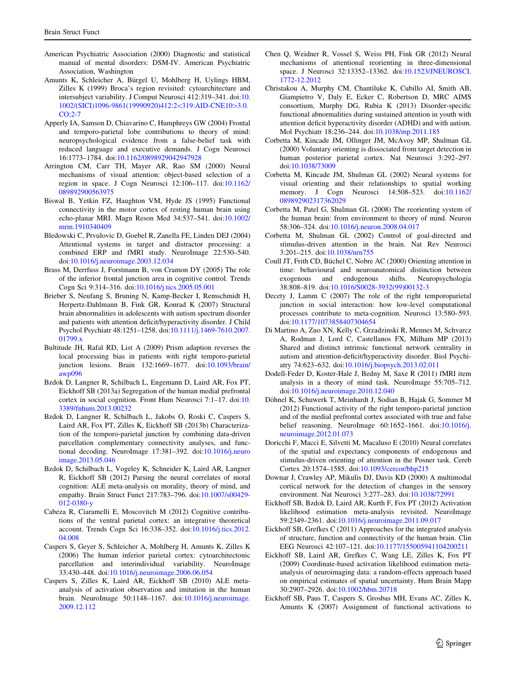- <span id="page-14-0"></span>American Psychiatric Association (2000) Diagnostic and statistical manual of mental disorders: DSM-IV. American Psychiatric Association, Washington
- Amunts K, Schleicher A, Bürgel U, Mohlberg H, Uylings HBM, Zilles K (1999) Broca's region revisited: cytoarchitecture and intersubject variability. J Comput Neurosci 412:319–341. doi:[10.](http://dx.doi.org/10.1002/(SICI)1096-9861(19990920)412:2%3c319:AID-CNE10%3e3.0.CO;2-7) [1002/\(SICI\)1096-9861\(19990920\)412:2](http://dx.doi.org/10.1002/(SICI)1096-9861(19990920)412:2%3c319:AID-CNE10%3e3.0.CO;2-7)<319:AID-CNE10>3.0. [CO;2-7](http://dx.doi.org/10.1002/(SICI)1096-9861(19990920)412:2%3c319:AID-CNE10%3e3.0.CO;2-7)
- Apperly IA, Samson D, Chiavarino C, Humphreys GW (2004) Frontal and temporo-parietal lobe contributions to theory of mind: neuropsychological evidence from a false-belief task with reduced language and executive demands. J Cogn Neurosci 16:1773–1784. doi[:10.1162/0898929042947928](http://dx.doi.org/10.1162/0898929042947928)
- Arrington CM, Carr TH, Mayer AR, Rao SM (2000) Neural mechanisms of visual attention: object-based selection of a region in space. J Cogn Neurosci 12:106–117. doi[:10.1162/](http://dx.doi.org/10.1162/089892900563975) [089892900563975](http://dx.doi.org/10.1162/089892900563975)
- Biswal B, Yetkin FZ, Haughton VM, Hyde JS (1995) Functional connectivity in the motor cortex of resting human brain using echo-planar MRI. Magn Reson Med 34:537–541. doi[:10.1002/](http://dx.doi.org/10.1002/mrm.1910340409) [mrm.1910340409](http://dx.doi.org/10.1002/mrm.1910340409)
- Bledowski C, Prvulovic D, Goebel R, Zanella FE, Linden DEJ (2004) Attentional systems in target and distractor processing: a combined ERP and fMRI study. NeuroImage 22:530–540. doi[:10.1016/j.neuroimage.2003.12.034](http://dx.doi.org/10.1016/j.neuroimage.2003.12.034)
- Brass M, Derrfuss J, Forstmann B, von Cramon DY (2005) The role of the inferior frontal junction area in cognitive control. Trends Cogn Sci 9:314–316. doi[:10.1016/j.tics.2005.05.001](http://dx.doi.org/10.1016/j.tics.2005.05.001)
- Brieber S, Neufang S, Bruning N, Kamp-Becker I, Remschmidt H, Herpertz-Dahlmann B, Fink GR, Konrad K (2007) Structural brain abnormalities in adolescents with autism spectrum disorder and patients with attention deficit/hyperactivity disorder. J Child Psychol Psychiatr 48:1251–1258. doi:[10.1111/j.1469-7610.2007.](http://dx.doi.org/10.1111/j.1469-7610.2007.01799.x) [01799.x](http://dx.doi.org/10.1111/j.1469-7610.2007.01799.x)
- Bultitude JH, Rafal RD, List A (2009) Prism adaption reverses the local processing bias in patients with right temporo-parietal junction lesions. Brain 132:1669–1677. doi[:10.1093/brain/](http://dx.doi.org/10.1093/brain/awp096) [awp096](http://dx.doi.org/10.1093/brain/awp096)
- Bzdok D, Langner R, Schilbach L, Engemann D, Laird AR, Fox PT, Eickhoff SB (2013a) Segregation of the human medial prefrontal cortex in social cognition. Front Hum Neurosci 7:1–17. doi:[10.](http://dx.doi.org/10.3389/fnhum.2013.00232) [3389/fnhum.2013.00232](http://dx.doi.org/10.3389/fnhum.2013.00232)
- Bzdok D, Langner R, Schilbach L, Jakobs O, Roski C, Caspers S, Laird AR, Fox PT, Zilles K, Eickhoff SB (2013b) Characterization of the temporo-parietal junction by combining data-driven parcellation complementary connectivity analyses, and functional decoding. NeuroImage 17:381–392. doi[:10.1016/j.neuro](http://dx.doi.org/10.1016/j.neuroimage.2013.05.046) [image.2013.05.046](http://dx.doi.org/10.1016/j.neuroimage.2013.05.046)
- Bzdok D, Schilbach L, Vogeley K, Schneider K, Laird AR, Langner R, Eickhoff SB (2012) Parsing the neural correlates of moral cognition: ALE meta-analysis on morality, theory of mind, and empathy. Brain Struct Funct 217:783–796. doi:[10.1007/s00429-](http://dx.doi.org/10.1007/s00429-012-0380-y) [012-0380-y](http://dx.doi.org/10.1007/s00429-012-0380-y)
- Cabeza R, Ciaramelli E, Moscovitch M (2012) Cognitive contributions of the ventral parietal cortex: an integrative theoretical account. Trends Cogn Sci 16:338–352. doi:[10.1016/j.tics.2012.](http://dx.doi.org/10.1016/j.tics.2012.04.008) [04.008](http://dx.doi.org/10.1016/j.tics.2012.04.008)
- Caspers S, Geyer S, Schleicher A, Mohlberg H, Amunts K, Zilles K (2006) The human inferior parietal cortex: cytoarchitectonic parcellation and interindividual variability. NeuroImage 33:430–448. doi:[10.1016/j.neuroimage.2006.06.054](http://dx.doi.org/10.1016/j.neuroimage.2006.06.054)
- Caspers S, Zilles K, Laird AR, Eickhoff SB (2010) ALE metaanalysis of activation observation and imitation in the human brain. NeuroImage 50:1148–1167. doi[:10.1016/j.neuroimage.](http://dx.doi.org/10.1016/j.neuroimage.2009.12.112) [2009.12.112](http://dx.doi.org/10.1016/j.neuroimage.2009.12.112)
- Chen Q, Weidner R, Vossel S, Weiss PH, Fink GR (2012) Neural mechanisms of attentional reorienting in three-dimensional space. J Neurosci 32:13352–13362. doi:[10.1523/JNEUROSCI.](http://dx.doi.org/10.1523/JNEUROSCI.1772-12.2012) [1772-12.2012](http://dx.doi.org/10.1523/JNEUROSCI.1772-12.2012)
- Christakou A, Murphy CM, Chantiluke K, Cubillo AI, Smith AB, Giampietro V, Daly E, Ecker C, Robertson D, MRC AIMS consortium, Murphy DG, Rubia K (2013) Disorder-specific functional abnormalities during sustained attention in youth with attention deficit hyperactivity disorder (ADHD) and with autism. Mol Psychiatr 18:236–244. doi[:10.1038/mp.2011.185](http://dx.doi.org/10.1038/mp.2011.185)
- Corbetta M, Kincade JM, Ollinger JM, McAvoy MP, Shulman GL (2000) Voluntary orienting is dissociated from target detection in human posterior parietal cortex. Nat Neurosci 3:292–297. doi[:10.1038/73009](http://dx.doi.org/10.1038/73009)
- Corbetta M, Kincade JM, Shulman GL (2002) Neural systems for visual orienting and their relationships to spatial working memory. J Cogn Neurosci 14:508–523. doi[:10.1162/](http://dx.doi.org/10.1162/089892902317362029) [089892902317362029](http://dx.doi.org/10.1162/089892902317362029)
- Corbetta M, Patel G, Shulman GL (2008) The reorienting system of the human brain: from environment to theory of mind. Neuron 58:306–324. doi:[10.1016/j.neuron.2008.04.017](http://dx.doi.org/10.1016/j.neuron.2008.04.017)
- Corbetta M, Shulman GL (2002) Control of goal-directed and stimulus-driven attention in the brain. Nat Rev Neurosci 3:201–215. doi:[10.1038/nrn755](http://dx.doi.org/10.1038/nrn755)
- Coull JT, Frith CD, Büchel C, Nobre AC (2000) Orienting attention in time: behavioural and neuroanatomical distinction between exogenous and endogenous shifts. Neuropsychologia 38:808–819. doi:[10.1016/S0028-3932\(99\)00132-3](http://dx.doi.org/10.1016/S0028-3932(99)00132-3)
- Decety J, Lamm C (2007) The role of the right temporoparietal junction in social interaction: how low-level computational processes contribute to meta-cognition. Neurosci 13:580–593. doi[:10.1177/1073858407304654](http://dx.doi.org/10.1177/1073858407304654)
- Di Martino A, Zuo XN, Kelly C, Grzadzinski R, Mennes M, Schvarcz A, Rodman J, Lord C, Castellanos FX, Milham MP (2013) Shared and distinct intrinsic functional network centrality in autism and attention-deficit/hyperactivity disorder. Biol Psychiatry 74:623–632. doi:[10.1016/j.biopsych.2013.02.011](http://dx.doi.org/10.1016/j.biopsych.2013.02.011)
- Dodell-Feder D, Koster-Hale J, Bedny M, Saxe R (2011) fMRI item analysis in a theory of mind task. NeuroImage 55:705–712. doi[:10.1016/j.neuroimage.2010.12.040](http://dx.doi.org/10.1016/j.neuroimage.2010.12.040)
- Döhnel K, Schuwerk T, Meinhardt J, Sodian B, Hajak G, Sommer M (2012) Functional activity of the right temporo-parietal junction and of the medial prefrontal cortex associated with true and false belief reasoning. NeuroImage 60:1652–1661. doi:[10.1016/j.](http://dx.doi.org/10.1016/j.neuroimage.2012.01.073) [neuroimage.2012.01.073](http://dx.doi.org/10.1016/j.neuroimage.2012.01.073)
- Doricchi F, Macci E, Silvetti M, Macaluso E (2010) Neural correlates of the spatial and expectancy components of endogenous and stimulus-driven orienting of attention in the Posner task. Cereb Cortex 20:1574–1585. doi[:10.1093/cercor/bhp215](http://dx.doi.org/10.1093/cercor/bhp215)
- Downar J, Crawley AP, Mikulis DJ, Davis KD (2000) A multimodal cortical network for the detection of changes in the sensory environment. Nat Neurosci 3:277–283. doi[:10.1038/72991](http://dx.doi.org/10.1038/72991)
- Eickhoff SB, Bzdok D, Laird AR, Kurth F, Fox PT (2012) Activation likelihood estimation meta-analysis revisited. NeuroImage 59:2349–2361. doi[:10.1016/j.neuroimage.2011.09.017](http://dx.doi.org/10.1016/j.neuroimage.2011.09.017)
- Eickhoff SB, Grefkes C (2011) Approaches for the integrated analysis of structure, function and connectivity of the human brain. Clin EEG Neurosci 42:107–121. doi:[10.1177/155005941104200211](http://dx.doi.org/10.1177/155005941104200211)
- Eickhoff SB, Laird AR, Grefkes C, Wang LE, Zilles K, Fox PT (2009) Coordinate-based activation likelihood estimation metaanalysis of neuroimaging data: a random-effects approach based on empirical estimates of spatial uncertainty. Hum Brain Mapp 30:2907–2926. doi[:10.1002/hbm.20718](http://dx.doi.org/10.1002/hbm.20718)
- Eickhoff SB, Paus T, Caspers S, Grosbas MH, Evans AC, Zilles K, Amunts K (2007) Assignment of functional activations to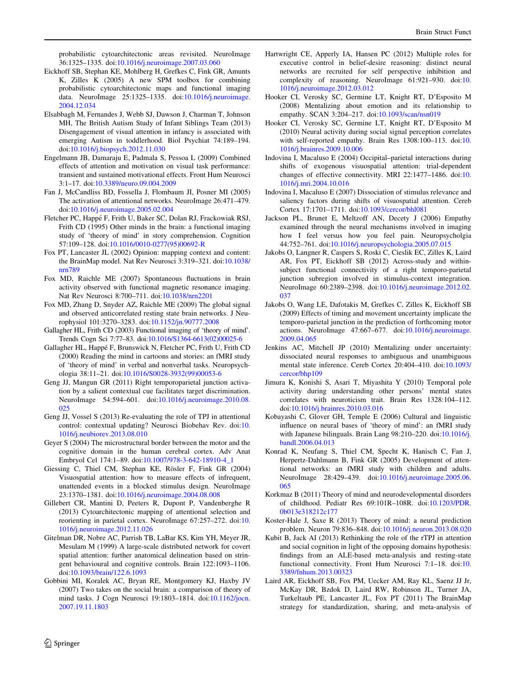<span id="page-15-0"></span>probabilistic cytoarchitectonic areas revisited. NeuroImage 36:1325–1335. doi[:10.1016/j.neuroimage.2007.03.060](http://dx.doi.org/10.1016/j.neuroimage.2007.03.060)

- Eickhoff SB, Stephan KE, Mohlberg H, Grefkes C, Fink GR, Amunts K, Zilles K (2005) A new SPM toolbox for combining probabilistic cytoarchitectonic maps and functional imaging data. NeuroImage 25:1325–1335. doi[:10.1016/j.neuroimage.](http://dx.doi.org/10.1016/j.neuroimage.2004.12.034) [2004.12.034](http://dx.doi.org/10.1016/j.neuroimage.2004.12.034)
- Elsabbagh M, Fernandes J, Webb SJ, Dawson J, Charman T, Johnson MH, The British Autism Study of Infant Siblings Team (2013) Disengagement of visual attention in infancy is associated with emerging Autism in toddlerhood. Biol Psychiat 74:189–194. doi[:10.1016/j.biopsych.2012.11.030](http://dx.doi.org/10.1016/j.biopsych.2012.11.030)
- Engelmann JB, Damaraju E, Padmala S, Pessoa L (2009) Combined effects of attention and motivation on visual task performance: transient and sustained motivational effects. Front Hum Neurosci 3:1–17. doi:[10.3389/neuro.09.004.2009](http://dx.doi.org/10.3389/neuro.09.004.2009)
- Fan J, McCandliss BD, Fossella J, Flombaum JI, Posner MI (2005) The activation of attentional networks. NeuroImage 26:471–479. doi[:10.1016/j.neuroimage.2005.02.004](http://dx.doi.org/10.1016/j.neuroimage.2005.02.004)
- Fletcher PC, Happé F, Frith U, Baker SC, Dolan RJ, Frackowiak RSJ, Frith CD (1995) Other minds in the brain: a functional imaging study of 'theory of mind' in story comprehension. Cognition 57:109–128. doi:[10.1016/0010-0277\(95\)00692-R](http://dx.doi.org/10.1016/0010-0277(95)00692-R)
- Fox PT, Lancaster JL (2002) Opinion: mapping context and content: the BrainMap model. Nat Rev Neurosci 3:319–321. doi[:10.1038/](http://dx.doi.org/10.1038/nrn789) [nrn789](http://dx.doi.org/10.1038/nrn789)
- Fox MD, Raichle ME (2007) Spontaneous fluctuations in brain activity observed with functional magnetic resonance imaging. Nat Rev Neurosci 8:700–711. doi[:10.1038/nrn2201](http://dx.doi.org/10.1038/nrn2201)
- Fox MD, Zhang D, Snyder AZ, Raichle ME (2009) The global signal and observed anticorrelated resting state brain networks. J Neurophysiol 101:3270–3283. doi[:10.1152/jn.90777.2008](http://dx.doi.org/10.1152/jn.90777.2008)
- Gallagher HL, Frith CD (2003) Functional imaging of 'theory of mind'. Trends Cogn Sci 7:77–83. doi[:10.1016/S1364-6613\(02\)00025-6](http://dx.doi.org/10.1016/S1364-6613(02)00025-6)
- Gallagher HL, Happé F, Brunswick N, Fletcher PC, Frith U, Frith CD (2000) Reading the mind in cartoons and stories: an fMRI study of 'theory of mind' in verbal and nonverbal tasks. Neuropsychologia 38:11–21. doi[:10.1016/S0028-3932\(99\)00053-6](http://dx.doi.org/10.1016/S0028-3932(99)00053-6)
- Geng JJ, Mangun GR (2011) Right temporoparietal junction activation by a salient contextual cue facilitates target discrimination. NeuroImage 54:594–601. doi:[10.1016/j.neuroimage.2010.08.](http://dx.doi.org/10.1016/j.neuroimage.2010.08.025) [025](http://dx.doi.org/10.1016/j.neuroimage.2010.08.025)
- Geng JJ, Vossel S (2013) Re-evaluating the role of TPJ in attentional control: contextual updating? Neurosci Biobehav Rev. doi:[10.](http://dx.doi.org/10.1016/j.neubiorev.2013.08.010) [1016/j.neubiorev.2013.08.010](http://dx.doi.org/10.1016/j.neubiorev.2013.08.010)
- Geyer S (2004) The microstructural border between the motor and the cognitive domain in the human cerebral cortex. Adv Anat Embryol Cel 174:1–89. doi[:10.1007/978-3-642-18910-4\\_1](http://dx.doi.org/10.1007/978-3-642-18910-4_1)
- Giessing C, Thiel CM, Stephan KE, Rösler F, Fink GR (2004) Visuospatial attention: how to measure effects of infrequent, unattended events in a blocked stimulus design. NeuroImage 23:1370–1381. doi[:10.1016/j.neuroimage.2004.08.008](http://dx.doi.org/10.1016/j.neuroimage.2004.08.008)
- Gillebert CR, Mantini D, Peeters R, Dupont P, Vandenberghe R (2013) Cytoarchitectonic mapping of attentional selection and reorienting in parietal cortex. NeuroImage 67:257–272. doi:[10.](http://dx.doi.org/10.1016/j.neuroimage.2012.11.026) [1016/j.neuroimage.2012.11.026](http://dx.doi.org/10.1016/j.neuroimage.2012.11.026)
- Gitelman DR, Nobre AC, Parrish TB, LaBar KS, Kim YH, Meyer JR, Mesulam M (1999) A large-scale distributed network for covert spatial attention: further anatomical delineation based on stringent behavioural and cognitive controls. Brain 122:1093–1106. doi[:10.1093/brain/122.6.1093](http://dx.doi.org/10.1093/brain/122.6.1093)
- Gobbini MI, Koralek AC, Bryan RE, Montgomery KJ, Haxby JV (2007) Two takes on the social brain: a comparison of theory of mind tasks. J Cogn Neurosci 19:1803–1814. doi[:10.1162/jocn.](http://dx.doi.org/10.1162/jocn.2007.19.11.1803) [2007.19.11.1803](http://dx.doi.org/10.1162/jocn.2007.19.11.1803)
- Hartwright CE, Apperly IA, Hansen PC (2012) Multiple roles for executive control in belief-desire reasoning: distinct neural networks are recruited for self perspective inhibition and complexity of reasoning. NeuroImage 61:921–930. doi:[10.](http://dx.doi.org/10.1016/j.neuroimage.2012.03.012) [1016/j.neuroimage.2012.03.012](http://dx.doi.org/10.1016/j.neuroimage.2012.03.012)
- Hooker CI, Verosky SC, Germine LT, Knight RT, D'Esposito M (2008) Mentalizing about emotion and its relationship to empathy. SCAN 3:204–217. doi[:10.1093/scan/nsn019](http://dx.doi.org/10.1093/scan/nsn019)
- Hooker CI, Verosky SC, Germine LT, Knight RT, D'Esposito M (2010) Neural activity during social signal perception correlates with self-reported empathy. Brain Res 1308:100–113. doi:[10.](http://dx.doi.org/10.1016/j.brainres.2009.10.006) [1016/j.brainres.2009.10.006](http://dx.doi.org/10.1016/j.brainres.2009.10.006)
- Indovina I, Macaluso E (2004) Occipital–parietal interactions during shifts of exogenous visuospatial attention: trial-dependent changes of effective connectivity. MRI 22:1477–1486. doi:[10.](http://dx.doi.org/10.1016/j.mri.2004.10.016) [1016/j.mri.2004.10.016](http://dx.doi.org/10.1016/j.mri.2004.10.016)
- Indovina I, Macaluso E (2007) Dissociation of stimulus relevance and saliency factors during shifts of visuospatial attention. Cereb Cortex 17:1701–1711. doi[:10.1093/cercor/bhl081](http://dx.doi.org/10.1093/cercor/bhl081)
- Jackson PL, Brunet E, Meltzoff AN, Decety J (2006) Empathy examined through the neural mechanisms involved in imaging how I feel versus how you feel pain. Neuropsycholgia 44:752–761. doi:[10.1016/j.neuropsychologia.2005.07.015](http://dx.doi.org/10.1016/j.neuropsychologia.2005.07.015)
- Jakobs O, Langner R, Caspers S, Roski C, Cieslik EC, Zilles K, Laird AR, Fox PT, Eickhoff SB (2012) Across-study and withinsubject functional connectivity of a right temporo-parietal junction subregion involved in stimulus-context integration. NeuroImage 60:2389–2398. doi:[10.1016/j.neuroimage.2012.02.](http://dx.doi.org/10.1016/j.neuroimage.2012.02.037) [037](http://dx.doi.org/10.1016/j.neuroimage.2012.02.037)
- Jakobs O, Wang LE, Dafotakis M, Grefkes C, Zilles K, Eickhoff SB (2009) Effects of timing and movement uncertainty implicate the temporo-parietal junction in the prediction of forthcoming motor actions. NeuroImage 47:667–677. doi:[10.1016/j.neuroimage.](http://dx.doi.org/10.1016/j.neuroimage.2009.04.065) [2009.04.065](http://dx.doi.org/10.1016/j.neuroimage.2009.04.065)
- Jenkins AC, Mitchell JP (2010) Mentalizing under uncertainty: dissociated neural responses to ambiguous and unambiguous mental state inference. Cereb Cortex 20:404–410. doi[:10.1093/](http://dx.doi.org/10.1093/cercor/bhp109) [cercor/bhp109](http://dx.doi.org/10.1093/cercor/bhp109)
- Jimura K, Konishi S, Asari T, Miyashita Y (2010) Temporal pole activity during understanding other persons' mental states correlates with neuroticism trait. Brain Res 1328:104–112. doi[:10.1016/j.brainres.2010.03.016](http://dx.doi.org/10.1016/j.brainres.2010.03.016)
- Kobayashi C, Glover GH, Temple E (2006) Cultural and linguistic influence on neural bases of 'theory of mind': an fMRI study with Japanese bilinguals. Brain Lang 98:210–220. doi:[10.1016/j.](http://dx.doi.org/10.1016/j.bandl.2006.04.013) [bandl.2006.04.013](http://dx.doi.org/10.1016/j.bandl.2006.04.013)
- Konrad K, Neufang S, Thiel CM, Specht K, Hanisch C, Fan J, Herpertz-Dahlmann B, Fink GR (2005) Development of attentional networks: an fMRI study with children and adults. NeuroImage 28:429–439. doi:[10.1016/j.neuroimage.2005.06.](http://dx.doi.org/10.1016/j.neuroimage.2005.06.065) [065](http://dx.doi.org/10.1016/j.neuroimage.2005.06.065)
- Korkmaz B (2011) Theory of mind and neurodevelopmental disorders of childhood. Pediatr Res 69:101R–108R. doi:[10.1203/PDR.](http://dx.doi.org/10.1203/PDR.0b013e318212c177) [0b013e318212c177](http://dx.doi.org/10.1203/PDR.0b013e318212c177)
- Koster-Hale J, Saxe R (2013) Theory of mind: a neural prediction problem. Neuron 79:836–848. doi:[10.1016/j.neuron.2013.08.020](http://dx.doi.org/10.1016/j.neuron.2013.08.020)
- Kubit B, Jack AI (2013) Rethinking the role of the rTPJ in attention and social cognition in light of the opposing domains hypothesis: findings from an ALE-based meta-analysis and resting-state functional connectivity. Front Hum Neurosci 7:1–18. doi:[10.](http://dx.doi.org/10.3389/fnhum.2013.00323) [3389/fnhum.2013.00323](http://dx.doi.org/10.3389/fnhum.2013.00323)
- Laird AR, Eickhoff SB, Fox PM, Uecker AM, Ray KL, Saenz JJ Jr, McKay DR, Bzdok D, Laird RW, Robinson JL, Turner JA, Turkeltaub PE, Lancaster JL, Fox PT (2011) The BrainMap strategy for standardization, sharing, and meta-analysis of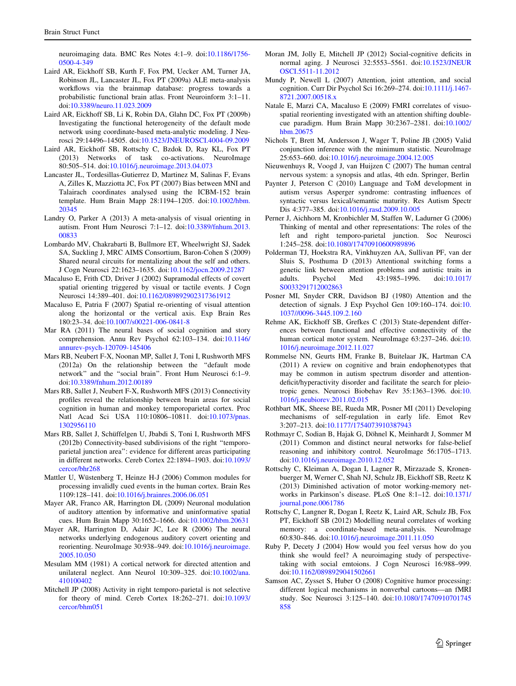<span id="page-16-0"></span>neuroimaging data. BMC Res Notes 4:1–9. doi[:10.1186/1756-](http://dx.doi.org/10.1186/1756-0500-4-349) [0500-4-349](http://dx.doi.org/10.1186/1756-0500-4-349)

- Laird AR, Eickhoff SB, Kurth F, Fox PM, Uecker AM, Turner JA, Robinson JL, Lancaster JL, Fox PT (2009a) ALE meta-analysis workflows via the brainmap database: progress towards a probabilistic functional brain atlas. Front Neuroinform 3:1–11. doi[:10.3389/neuro.11.023.2009](http://dx.doi.org/10.3389/neuro.11.023.2009)
- Laird AR, Eickhoff SB, Li K, Robin DA, Glahn DC, Fox PT (2009b) Investigating the functional heterogeneity of the default mode network using coordinate-based meta-analytic modeling. J Neurosci 29:14496–14505. doi:[10.1523/JNEUROSCI.4004-09.2009](http://dx.doi.org/10.1523/JNEUROSCI.4004-09.2009)
- Laird AR, Eickhoff SB, Rottschy C, Bzdok D, Ray KL, Fox PT (2013) Networks of task co-activations. NeuroImage 80:505–514. doi:[10.1016/j.neuroimage.2013.04.073](http://dx.doi.org/10.1016/j.neuroimage.2013.04.073)
- Lancaster JL, Tordesillas-Gutierrez D, Martinez M, Salinas F, Evans A, Zilles K, Mazziotta JC, Fox PT (2007) Bias between MNI and Talairach coordinates analysed using the ICBM-152 brain template. Hum Brain Mapp 28:1194–1205. doi[:10.1002/hbm.](http://dx.doi.org/10.1002/hbm.20345) [20345](http://dx.doi.org/10.1002/hbm.20345)
- Landry O, Parker A (2013) A meta-analysis of visual orienting in autism. Front Hum Neurosci 7:1–12. doi:[10.3389/fnhum.2013.](http://dx.doi.org/10.3389/fnhum.2013.00833) [00833](http://dx.doi.org/10.3389/fnhum.2013.00833)
- Lombardo MV, Chakrabarti B, Bullmore ET, Wheelwright SJ, Sadek SA, Suckling J, MRC AIMS Consortium, Baron-Cohen S (2009) Shared neural circuits for mentalizing about the self and others. J Cogn Neurosci 22:1623–1635. doi:[10.1162/jocn.2009.21287](http://dx.doi.org/10.1162/jocn.2009.21287)
- Macaluso E, Frith CD, Driver J (2002) Supramodal effects of covert spatial orienting triggered by visual or tactile events. J Cogn Neurosci 14:389–401. doi[:10.1162/089892902317361912](http://dx.doi.org/10.1162/089892902317361912)
- Macaluso E, Patria F (2007) Spatial re-orienting of visual attention along the horizontal or the vertical axis. Exp Brain Res 180:23–34. doi[:10.1007/s00221-006-0841-8](http://dx.doi.org/10.1007/s00221-006-0841-8)
- Mar RA (2011) The neural bases of social cognition and story comprehension. Annu Rev Psychol 62:103–134. doi[:10.1146/](http://dx.doi.org/10.1146/annurev-psych-120709-145406) [annurev-psych-120709-145406](http://dx.doi.org/10.1146/annurev-psych-120709-145406)
- Mars RB, Neubert F-X, Noonan MP, Sallet J, Toni I, Rushworth MFS (2012a) On the relationship between the ''default mode network'' and the ''social brain''. Front Hum Neurosci 6:1–9. doi[:10.3389/fnhum.2012.00189](http://dx.doi.org/10.3389/fnhum.2012.00189)
- Mars RB, Sallet J, Neubert F-X, Rushworth MFS (2013) Connectivity profiles reveal the relationship between brain areas for social cognition in human and monkey temporoparietal cortex. Proc Natl Acad Sci USA 110:10806–10811. doi:[10.1073/pnas.](http://dx.doi.org/10.1073/pnas.1302956110) [1302956110](http://dx.doi.org/10.1073/pnas.1302956110)
- Mars RB, Sallet J, Schüffelgen U, Jbabdi S, Toni I, Rushworth MFS (2012b) Connectivity-based subdivisions of the right ''temporoparietal junction area'': evidence for different areas participating in different networks. Cereb Cortex 22:1894–1903. doi[:10.1093/](http://dx.doi.org/10.1093/cercor/bhr268) [cercor/bhr268](http://dx.doi.org/10.1093/cercor/bhr268)
- Mattler U, Wüstenberg T, Heinze H-J (2006) Common modules for processing invalidly cued events in the human cortex. Brain Res 1109:128–141. doi[:10.1016/j.brainres.2006.06.051](http://dx.doi.org/10.1016/j.brainres.2006.06.051)
- Mayer AR, Franco AR, Harrington DL (2009) Neuronal modulation of auditory attention by informative and uninformative spatial cues. Hum Brain Mapp 30:1652–1666. doi[:10.1002/hbm.20631](http://dx.doi.org/10.1002/hbm.20631)
- Mayer AR, Harrington D, Adair JC, Lee R (2006) The neural networks underlying endogenous auditory covert orienting and reorienting. NeuroImage 30:938–949. doi[:10.1016/j.neuroimage.](http://dx.doi.org/10.1016/j.neuroimage.2005.10.050) [2005.10.050](http://dx.doi.org/10.1016/j.neuroimage.2005.10.050)
- Mesulam MM (1981) A cortical network for directed attention and unilateral neglect. Ann Neurol 10:309–325. doi[:10.1002/ana.](http://dx.doi.org/10.1002/ana.410100402) [410100402](http://dx.doi.org/10.1002/ana.410100402)
- Mitchell JP (2008) Activity in right temporo-parietal is not selective for theory of mind. Cereb Cortex 18:262–271. doi[:10.1093/](http://dx.doi.org/10.1093/cercor/bhm051) [cercor/bhm051](http://dx.doi.org/10.1093/cercor/bhm051)
- Moran JM, Jolly E, Mitchell JP (2012) Social-cognitive deficits in normal aging. J Neurosci 32:5553–5561. doi[:10.1523/JNEUR](http://dx.doi.org/10.1523/JNEUROSCI.5511-11.2012) [OSCI.5511-11.2012](http://dx.doi.org/10.1523/JNEUROSCI.5511-11.2012)
- Mundy P, Newell L (2007) Attention, joint attention, and social cognition. Curr Dir Psychol Sci 16:269–274. doi[:10.1111/j.1467-](http://dx.doi.org/10.1111/j.1467-8721.2007.00518.x) [8721.2007.00518.x](http://dx.doi.org/10.1111/j.1467-8721.2007.00518.x)
- Natale E, Marzi CA, Macaluso E (2009) FMRI correlates of visuospatial reorienting investigated with an attention shifting doublecue paradigm. Hum Brain Mapp 30:2367–2381. doi[:10.1002/](http://dx.doi.org/10.1002/hbm.20675) [hbm.20675](http://dx.doi.org/10.1002/hbm.20675)
- Nichols T, Brett M, Andersson J, Wager T, Poline JB (2005) Valid conjunction inference with the minimum statistic. NeuroImage 25:653–660. doi:[10.1016/j.neuroimage.2004.12.005](http://dx.doi.org/10.1016/j.neuroimage.2004.12.005)
- Nieuwenhuys R, Voogd J, van Huijzen C (2007) The human central nervous system: a synopsis and atlas, 4th edn. Springer, Berlin
- Paynter J, Peterson C (2010) Language and ToM development in autism versus Asperger syndrome: contrasting influences of syntactic versus lexical/semantic maturity. Res Autism Spectr Dis 4:377–385. doi[:10.1016/j.rasd.2009.10.005](http://dx.doi.org/10.1016/j.rasd.2009.10.005)
- Perner J, Aichhorn M, Kronbichler M, Staffen W, Ladurner G (2006) Thinking of mental and other representations: The roles of the left and right temporo-parietal junction. Soc Neurosci 1:245–258. doi:[10.1080/17470910600989896](http://dx.doi.org/10.1080/17470910600989896)
- Polderman TJ, Hoekstra RA, Vinkhuyzen AA, Sullivan PF, van der Sluis S, Posthuma D (2013) Attentional switching forms a genetic link between attention problems and autistic traits in adults. Psychol Med 43:1985–1996. doi[:10.1017/](http://dx.doi.org/10.1017/S0033291712002863) [S0033291712002863](http://dx.doi.org/10.1017/S0033291712002863)
- Posner MI, Snyder CRR, Davidson BJ (1980) Attention and the detection of signals. J Exp Psychol Gen 109:160–174. doi:[10.](http://dx.doi.org/10.1037//0096-3445.109.2.160) [1037//0096-3445.109.2.160](http://dx.doi.org/10.1037//0096-3445.109.2.160)
- Rehme AK, Eickhoff SB, Grefkes C (2013) State-dependent differences between functional and effective connectivity of the human cortical motor system. NeuroImage 63:237–246. doi:[10.](http://dx.doi.org/10.1016/j.neuroimage.2012.11.027) [1016/j.neuroimage.2012.11.027](http://dx.doi.org/10.1016/j.neuroimage.2012.11.027)
- Rommelse NN, Geurts HM, Franke B, Buitelaar JK, Hartman CA (2011) A review on cognitive and brain endophenotypes that may be common in autism spectrum disorder and attentiondeficit/hyperactivity disorder and facilitate the search for pleiotropic genes. Neurosci Biobehav Rev 35:1363–1396. doi:[10.](http://dx.doi.org/10.1016/j.neubiorev.2011.02.015) [1016/j.neubiorev.2011.02.015](http://dx.doi.org/10.1016/j.neubiorev.2011.02.015)
- Rothbart MK, Sheese BE, Rueda MR, Posner MI (2011) Developing mechanisms of self-regulation in early life. Emot Rev 3:207–213. doi:[10.1177/1754073910387943](http://dx.doi.org/10.1177/1754073910387943)
- Rothmayr C, Sodian B, Hajak G, Döhnel K, Meinhardt J, Sommer M (2011) Common and distinct neural networks for false-belief reasoning and inhibitory control. NeuroImage 56:1705–1713. doi[:10.1016/j.neuroimage.2010.12.052](http://dx.doi.org/10.1016/j.neuroimage.2010.12.052)
- Rottschy C, Kleiman A, Dogan I, Lagner R, Mirzazade S, Kronenbuerger M, Werner C, Shah NJ, Schulz JB, Eickhoff SB, Reetz K (2013) Diminished activation of motor working-memory networks in Parkinson's disease. PLoS One 8:1–12. doi[:10.1371/](http://dx.doi.org/10.1371/journal.pone.0061786) [journal.pone.0061786](http://dx.doi.org/10.1371/journal.pone.0061786)
- Rottschy C, Langner R, Dogan I, Reetz K, Laird AR, Schulz JB, Fox PT, Eickhoff SB (2012) Modelling neural correlates of working memory: a coordinate-based meta-analysis. NeuroImage 60:830–846. doi:[10.1016/j.neuroimage.2011.11.050](http://dx.doi.org/10.1016/j.neuroimage.2011.11.050)
- Ruby P, Decety J (2004) How would you feel versus how do you think she would feel? A neuroimaging study of perspectivetaking with social emtoions. J Cogn Neurosci 16:988–999. doi[:10.1162/0898929041502661](http://dx.doi.org/10.1162/0898929041502661)
- Samson AC, Zysset S, Huber O (2008) Cognitive humor processing: different logical mechanisms in nonverbal cartoons—an fMRI study. Soc Neurosci 3:125–140. doi[:10.1080/17470910701745](http://dx.doi.org/10.1080/17470910701745858) [858](http://dx.doi.org/10.1080/17470910701745858)